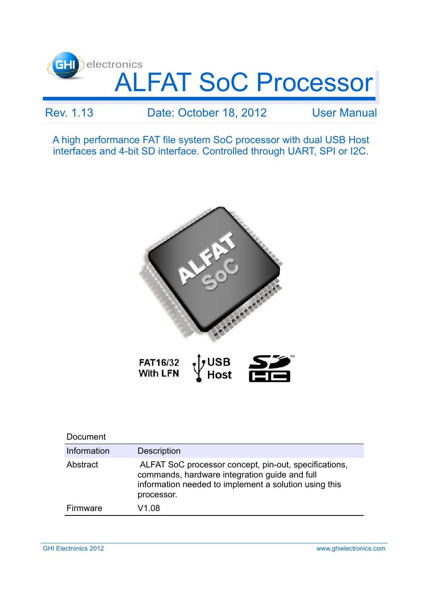

### Rev. 1.13 Date: October 18, 2012 User Manual

A high performance FAT file system SoC processor with dual USB Host interfaces and 4-bit SD interface. Controlled through UART, SPI or I2C.



| Document    |                                                                                                                                                                               |
|-------------|-------------------------------------------------------------------------------------------------------------------------------------------------------------------------------|
| Information | <b>Description</b>                                                                                                                                                            |
| Abstract    | ALFAT SoC processor concept, pin-out, specifications,<br>commands, hardware integration guide and full<br>information needed to implement a solution using this<br>processor. |
| Firmware    | V1 08                                                                                                                                                                         |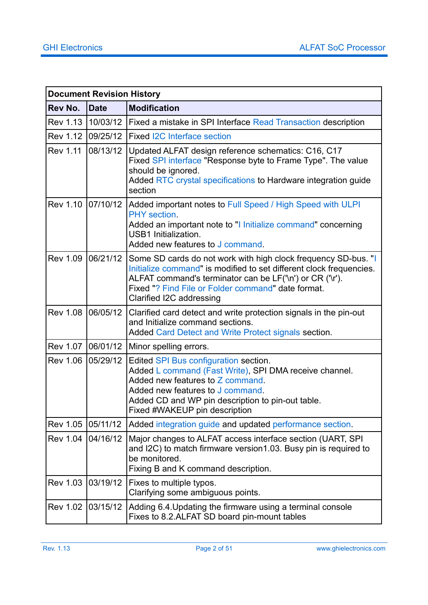|                   | <b>Document Revision History</b> |                                                                                                                                                                                                                                                                                     |
|-------------------|----------------------------------|-------------------------------------------------------------------------------------------------------------------------------------------------------------------------------------------------------------------------------------------------------------------------------------|
| Rev No.           | <b>Date</b>                      | <b>Modification</b>                                                                                                                                                                                                                                                                 |
| <b>Rev 1.13</b>   | 10/03/12                         | Fixed a mistake in SPI Interface Read Transaction description                                                                                                                                                                                                                       |
| Rev 1.12          | 09/25/12                         | Fixed I2C Interface section                                                                                                                                                                                                                                                         |
| <b>Rev 1.11</b>   | 08/13/12                         | Updated ALFAT design reference schematics: C16, C17<br>Fixed SPI interface "Response byte to Frame Type". The value<br>should be ignored.<br>Added RTC crystal specifications to Hardware integration guide<br>section                                                              |
| Rev 1.10 07/10/12 |                                  | Added important notes to Full Speed / High Speed with ULPI<br>PHY section.<br>Added an important note to "I Initialize command" concerning<br><b>USB1</b> Initialization.<br>Added new features to J command.                                                                       |
| <b>Rev 1.09</b>   | 06/21/12                         | Some SD cards do not work with high clock frequency SD-bus. "I<br>Initialize command" is modified to set different clock frequencies.<br>ALFAT command's terminator can be LF('\n') or CR ('\r').<br>Fixed "? Find File or Folder command" date format.<br>Clarified I2C addressing |
| <b>Rev 1.08</b>   | 06/05/12                         | Clarified card detect and write protection signals in the pin-out<br>and Initialize command sections.<br>Added Card Detect and Write Protect signals section.                                                                                                                       |
| <b>Rev 1.07</b>   | 06/01/12                         | Minor spelling errors.                                                                                                                                                                                                                                                              |
| <b>Rev 1.06</b>   | 05/29/12                         | Edited SPI Bus configuration section.<br>Added L command (Fast Write), SPI DMA receive channel.<br>Added new features to Z command.<br>Added new features to J command.<br>Added CD and WP pin description to pin-out table.<br>Fixed #WAKEUP pin description                       |
| <b>Rev 1.05</b>   | 05/11/12                         | Added integration guide and updated performance section.                                                                                                                                                                                                                            |
| <b>Rev 1.04</b>   | 04/16/12                         | Major changes to ALFAT access interface section (UART, SPI)<br>and I2C) to match firmware version1.03. Busy pin is required to<br>be monitored.<br>Fixing B and K command description.                                                                                              |
| <b>Rev 1.03</b>   | 03/19/12                         | Fixes to multiple typos.<br>Clarifying some ambiguous points.                                                                                                                                                                                                                       |
| <b>Rev 1.02</b>   | 03/15/12                         | Adding 6.4. Updating the firmware using a terminal console<br>Fixes to 8.2.ALFAT SD board pin-mount tables                                                                                                                                                                          |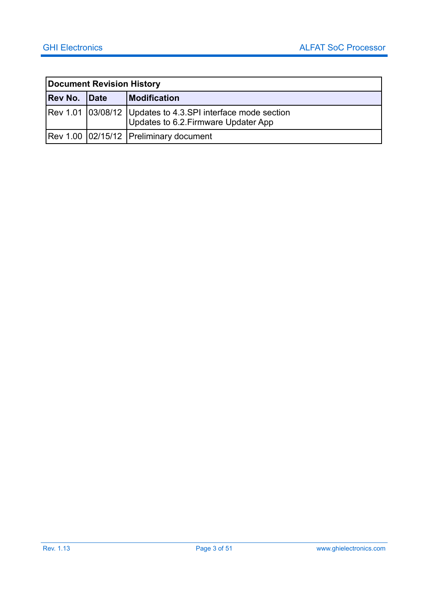|              | Document Revision History |                                                                                                         |  |
|--------------|---------------------------|---------------------------------------------------------------------------------------------------------|--|
| Rev No. Date |                           | <b>Modification</b>                                                                                     |  |
|              |                           | Rev 1.01   03/08/12   Updates to 4.3.SPI interface mode section<br>Updates to 6.2. Firmware Updater App |  |
|              |                           | Rev 1.00 02/15/12 Preliminary document                                                                  |  |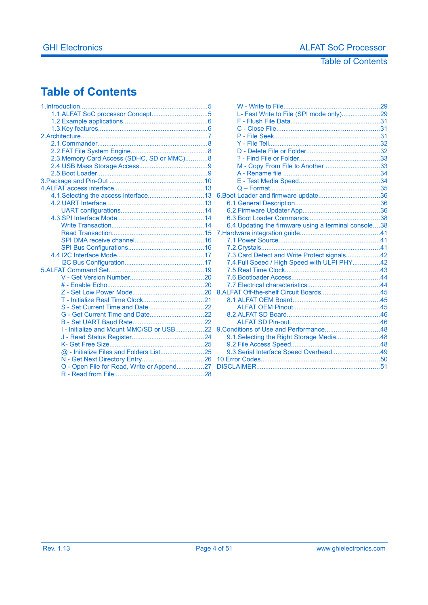#### Table of Contents

### **Table of Contents**

| 1.1.ALFAT SoC processor Concept5           |   |
|--------------------------------------------|---|
|                                            |   |
|                                            |   |
|                                            |   |
|                                            |   |
|                                            |   |
| 2.3. Memory Card Access (SDHC, SD or MMC)8 |   |
|                                            |   |
|                                            |   |
|                                            |   |
|                                            |   |
|                                            | 6 |
|                                            |   |
|                                            |   |
|                                            |   |
|                                            |   |
|                                            | 7 |
|                                            |   |
|                                            |   |
|                                            |   |
|                                            |   |
|                                            |   |
|                                            |   |
|                                            |   |
|                                            | 8 |
|                                            |   |
|                                            |   |
|                                            |   |
|                                            |   |
| I - Initialize and Mount MMC/SD or USB22   | g |
|                                            |   |
|                                            |   |
| @ - Initialize Files and Folders List25    |   |
|                                            | 1 |
| O - Open File for Read, Write or Append27  | D |
|                                            |   |
|                                            |   |

| L- Fast Write to File (SPI mode only)29               |  |
|-------------------------------------------------------|--|
|                                                       |  |
|                                                       |  |
|                                                       |  |
|                                                       |  |
|                                                       |  |
|                                                       |  |
| M - Copy From File to Another 33                      |  |
|                                                       |  |
|                                                       |  |
|                                                       |  |
|                                                       |  |
|                                                       |  |
|                                                       |  |
|                                                       |  |
| 6.4. Updating the firmware using a terminal console38 |  |
|                                                       |  |
|                                                       |  |
|                                                       |  |
| 7.3. Card Detect and Write Protect signals42          |  |
| 7.4. Full Speed / High Speed with ULPI PHY42          |  |
|                                                       |  |
|                                                       |  |
|                                                       |  |
|                                                       |  |
|                                                       |  |
|                                                       |  |
|                                                       |  |
|                                                       |  |
|                                                       |  |
| 9.1. Selecting the Right Storage Media48              |  |
|                                                       |  |
| 9.3. Serial Interface Speed Overhead49                |  |
|                                                       |  |
|                                                       |  |
|                                                       |  |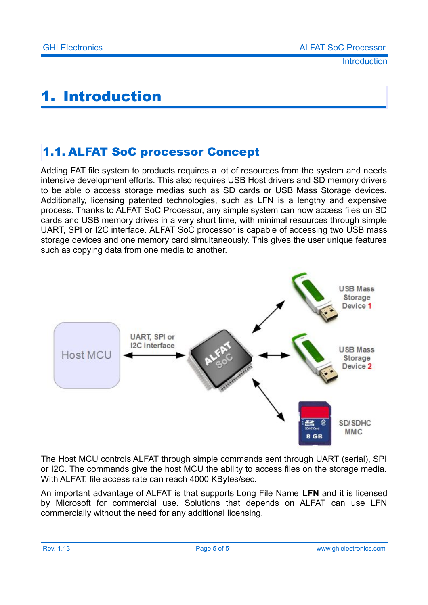# <span id="page-4-1"></span>1. Introduction

### <span id="page-4-0"></span>1.1. ALFAT SoC processor Concept

Adding FAT file system to products requires a lot of resources from the system and needs intensive development efforts. This also requires USB Host drivers and SD memory drivers to be able o access storage medias such as SD cards or USB Mass Storage devices. Additionally, licensing patented technologies, such as LFN is a lengthy and expensive process. Thanks to ALFAT SoC Processor, any simple system can now access files on SD cards and USB memory drives in a very short time, with minimal resources through simple UART, SPI or I2C interface. ALFAT SoC processor is capable of accessing two USB mass storage devices and one memory card simultaneously. This gives the user unique features such as copying data from one media to another.



The Host MCU controls ALFAT through simple commands sent through UART (serial), SPI or I2C. The commands give the host MCU the ability to access files on the storage media. With ALFAT, file access rate can reach 4000 KBytes/sec.

An important advantage of ALFAT is that supports Long File Name **LFN** and it is licensed by Microsoft for commercial use. Solutions that depends on ALFAT can use LFN commercially without the need for any additional licensing.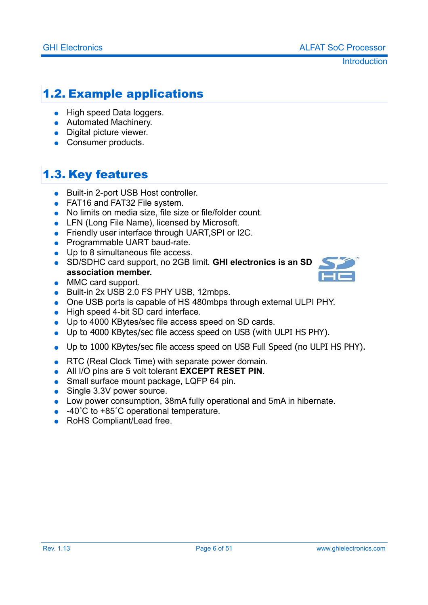**Introduction** 

### <span id="page-5-1"></span>1.2. Example applications

- High speed Data loggers.
- Automated Machinery.
- Digital picture viewer.
- Consumer products.

## <span id="page-5-0"></span>1.3. Key features

- Built-in 2-port USB Host controller.
- FAT16 and FAT32 File system.
- No limits on media size, file size or file/folder count.
- LFN (Long File Name), licensed by Microsoft.
- Friendly user interface through UART, SPI or I2C.
- Programmable UART baud-rate.
- Up to 8 simultaneous file access.
- SD/SDHC card support, no 2GB limit. **GHI electronics is an SD association member.**
- MMC card support.
- Built-in 2x USB 2.0 FS PHY USB, 12mbps.
- One USB ports is capable of HS 480mbps through external ULPI PHY.
- High speed 4-bit SD card interface.
- Up to 4000 KBytes/sec file access speed on SD cards.
- Up to 4000 KBytes/sec file access speed on USB (with ULPI HS PHY).
- Up to 1000 KBytes/sec file access speed on USB Full Speed (no ULPI HS PHY).
- RTC (Real Clock Time) with separate power domain.
- All I/O pins are 5 volt tolerant **EXCEPT RESET PIN**.
- Small surface mount package, LQFP 64 pin.
- Single 3.3V power source.
- Low power consumption, 38mA fully operational and 5mA in hibernate.
- $\bullet$  -40°C to +85°C operational temperature.
- RoHS Compliant/Lead free.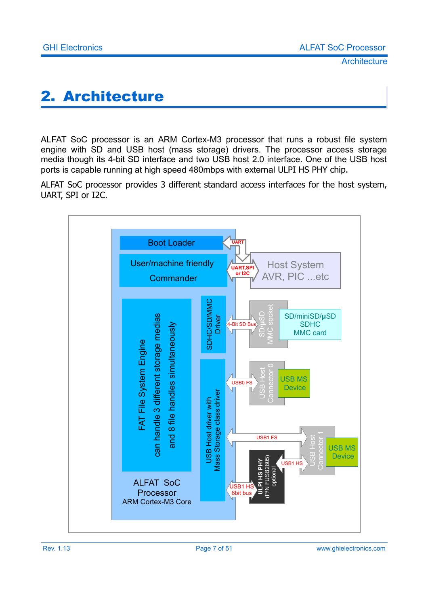# <span id="page-6-0"></span>2. Architecture

ALFAT SoC processor is an ARM Cortex-M3 processor that runs a robust file system engine with SD and USB host (mass storage) drivers. The processor access storage media though its 4-bit SD interface and two USB host 2.0 interface. One of the USB host ports is capable running at high speed 480mbps with external ULPI HS PHY chip.

ALFAT SoC processor provides 3 different standard access interfaces for the host system, UART, SPI or I2C.

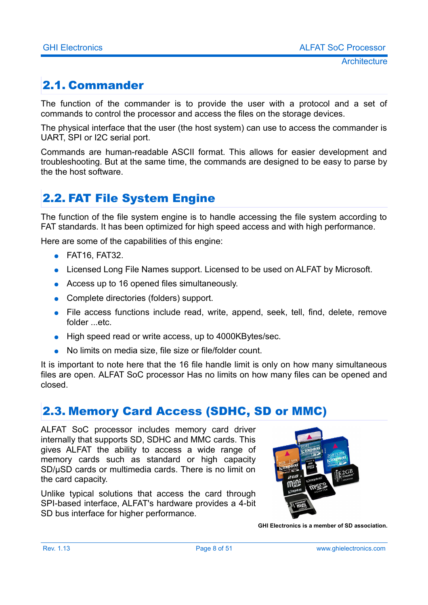# <span id="page-7-2"></span>2.1. Commander

The function of the commander is to provide the user with a protocol and a set of commands to control the processor and access the files on the storage devices.

The physical interface that the user (the host system) can use to access the commander is UART, SPI or I2C serial port.

Commands are human-readable ASCII format. This allows for easier development and troubleshooting. But at the same time, the commands are designed to be easy to parse by the the host software.

### <span id="page-7-1"></span>2.2. FAT File System Engine

The function of the file system engine is to handle accessing the file system according to FAT standards. It has been optimized for high speed access and with high performance.

Here are some of the capabilities of this engine:

- FAT16, FAT32.
- Licensed Long File Names support. Licensed to be used on ALFAT by Microsoft.
- Access up to 16 opened files simultaneously.
- Complete directories (folders) support.
- File access functions include read, write, append, seek, tell, find, delete, remove folder ...etc.
- High speed read or write access, up to 4000KBytes/sec.
- No limits on media size, file size or file/folder count.

It is important to note here that the 16 file handle limit is only on how many simultaneous files are open. ALFAT SoC processor Has no limits on how many files can be opened and closed.

### <span id="page-7-0"></span>2.3. Memory Card Access (SDHC, SD or MMC)

ALFAT SoC processor includes memory card driver internally that supports SD, SDHC and MMC cards. This gives ALFAT the ability to access a wide range of memory cards such as standard or high capacity SD/μSD cards or multimedia cards. There is no limit on the card capacity.

Unlike typical solutions that access the card through SPI-based interface, ALFAT's hardware provides a 4-bit SD bus interface for higher performance.



**GHI Electronics is a member of SD association.**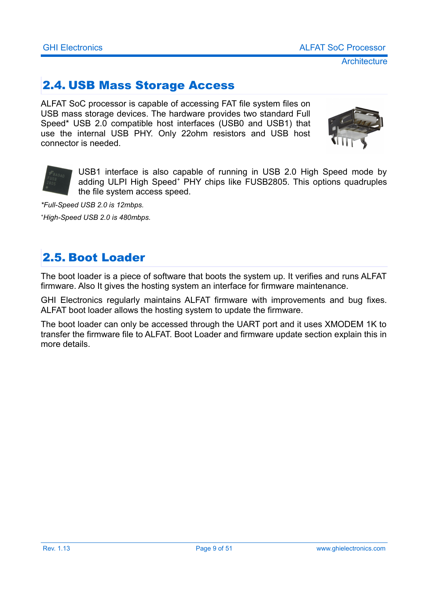### <span id="page-8-1"></span>2.4. USB Mass Storage Access

ALFAT SoC processor is capable of accessing FAT file system files on USB mass storage devices. The hardware provides two standard Full Speed\* USB 2.0 compatible host interfaces (USB0 and USB1) that use the internal USB PHY. Only 22ohm resistors and USB host connector is needed.





USB1 interface is also capable of running in USB 2.0 High Speed mode by adding ULPI High Speed<sup>+</sup> PHY chips like FUSB2805. This options quadruples the file system access speed.

*\*Full-Speed USB 2.0 is 12mbps. <sup>+</sup>High-Speed USB 2.0 is 480mbps.*

### <span id="page-8-0"></span>2.5. Boot Loader

The boot loader is a piece of software that boots the system up. It verifies and runs ALFAT firmware. Also It gives the hosting system an interface for firmware maintenance.

GHI Electronics regularly maintains ALFAT firmware with improvements and bug fixes. ALFAT boot loader allows the hosting system to update the firmware.

The boot loader can only be accessed through the UART port and it uses XMODEM 1K to transfer the firmware file to ALFAT. Boot Loader and firmware update section explain this in more details.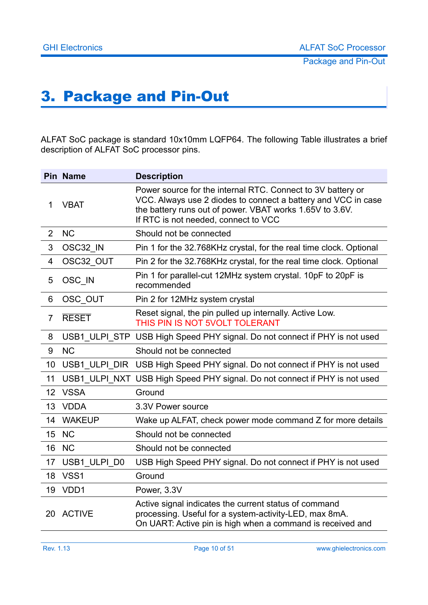# <span id="page-9-0"></span>3. Package and Pin-Out

ALFAT SoC package is standard 10x10mm LQFP64. The following Table illustrates a brief description of ALFAT SoC processor pins.

|                | <b>Pin Name</b> | <b>Description</b>                                                                                                                                                                                                               |
|----------------|-----------------|----------------------------------------------------------------------------------------------------------------------------------------------------------------------------------------------------------------------------------|
| $\mathbf{1}$   | <b>VBAT</b>     | Power source for the internal RTC. Connect to 3V battery or<br>VCC. Always use 2 diodes to connect a battery and VCC in case<br>the battery runs out of power. VBAT works 1.65V to 3.6V.<br>If RTC is not needed, connect to VCC |
| $\overline{2}$ | <b>NC</b>       | Should not be connected                                                                                                                                                                                                          |
| 3              | OSC32 IN        | Pin 1 for the 32.768KHz crystal, for the real time clock. Optional                                                                                                                                                               |
| $\overline{4}$ | OSC32_OUT       | Pin 2 for the 32.768KHz crystal, for the real time clock. Optional                                                                                                                                                               |
| 5              | OSC IN          | Pin 1 for parallel-cut 12MHz system crystal. 10pF to 20pF is<br>recommended                                                                                                                                                      |
| 6              | OSC OUT         | Pin 2 for 12MHz system crystal                                                                                                                                                                                                   |
| $\overline{7}$ | <b>RESET</b>    | Reset signal, the pin pulled up internally. Active Low.<br>THIS PIN IS NOT 5VOLT TOLERANT                                                                                                                                        |
| 8              |                 | USB1 ULPI STP USB High Speed PHY signal. Do not connect if PHY is not used                                                                                                                                                       |
| 9              | <b>NC</b>       | Should not be connected                                                                                                                                                                                                          |
| 10             |                 | USB1_ULPI_DIR USB High Speed PHY signal. Do not connect if PHY is not used                                                                                                                                                       |
| 11             |                 | USB1 ULPI NXT USB High Speed PHY signal. Do not connect if PHY is not used                                                                                                                                                       |
| 12             | <b>VSSA</b>     | Ground                                                                                                                                                                                                                           |
| 13             | <b>VDDA</b>     | 3.3V Power source                                                                                                                                                                                                                |
| 14             | <b>WAKEUP</b>   | Wake up ALFAT, check power mode command Z for more details                                                                                                                                                                       |
| 15             | <b>NC</b>       | Should not be connected                                                                                                                                                                                                          |
| 16             | <b>NC</b>       | Should not be connected                                                                                                                                                                                                          |
| 17             | USB1 ULPI D0    | USB High Speed PHY signal. Do not connect if PHY is not used                                                                                                                                                                     |
| 18             | VSS1            | Ground                                                                                                                                                                                                                           |
| 19             | VDD1            | Power, 3.3V                                                                                                                                                                                                                      |
|                | 20 ACTIVE       | Active signal indicates the current status of command<br>processing. Useful for a system-activity-LED, max 8mA.<br>On UART: Active pin is high when a command is received and                                                    |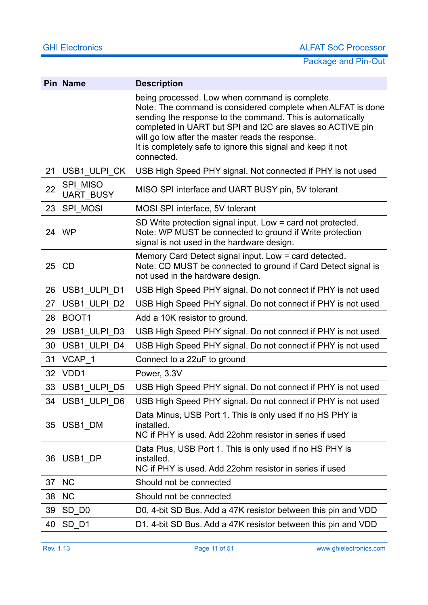|    | Pin Name                            | <b>Description</b>                                                                                                                                                                                                                                                                                                                                                         |
|----|-------------------------------------|----------------------------------------------------------------------------------------------------------------------------------------------------------------------------------------------------------------------------------------------------------------------------------------------------------------------------------------------------------------------------|
|    |                                     | being processed. Low when command is complete.<br>Note: The command is considered complete when ALFAT is done<br>sending the response to the command. This is automatically<br>completed in UART but SPI and I2C are slaves so ACTIVE pin<br>will go low after the master reads the response.<br>It is completely safe to ignore this signal and keep it not<br>connected. |
| 21 | USB1_ULPI_CK                        | USB High Speed PHY signal. Not connected if PHY is not used                                                                                                                                                                                                                                                                                                                |
| 22 | <b>SPI MISO</b><br><b>UART BUSY</b> | MISO SPI interface and UART BUSY pin, 5V tolerant                                                                                                                                                                                                                                                                                                                          |
| 23 | SPI MOSI                            | MOSI SPI interface, 5V tolerant                                                                                                                                                                                                                                                                                                                                            |
|    | 24 WP                               | SD Write protection signal input. Low = card not protected.<br>Note: WP MUST be connected to ground if Write protection<br>signal is not used in the hardware design.                                                                                                                                                                                                      |
|    | 25 CD                               | Memory Card Detect signal input. Low = card detected.<br>Note: CD MUST be connected to ground if Card Detect signal is<br>not used in the hardware design.                                                                                                                                                                                                                 |
| 26 | USB1_ULPI_D1                        | USB High Speed PHY signal. Do not connect if PHY is not used                                                                                                                                                                                                                                                                                                               |
| 27 | USB1_ULPI_D2                        | USB High Speed PHY signal. Do not connect if PHY is not used                                                                                                                                                                                                                                                                                                               |
| 28 | BOOT <sub>1</sub>                   | Add a 10K resistor to ground.                                                                                                                                                                                                                                                                                                                                              |
| 29 | USB1_ULPI_D3                        | USB High Speed PHY signal. Do not connect if PHY is not used                                                                                                                                                                                                                                                                                                               |
| 30 | USB1 ULPI D4                        | USB High Speed PHY signal. Do not connect if PHY is not used                                                                                                                                                                                                                                                                                                               |
| 31 | VCAP 1                              | Connect to a 22uF to ground                                                                                                                                                                                                                                                                                                                                                |
| 32 | VDD1                                | Power, 3.3V                                                                                                                                                                                                                                                                                                                                                                |
| 33 | USB1 ULPI D5                        | USB High Speed PHY signal. Do not connect if PHY is not used                                                                                                                                                                                                                                                                                                               |
|    | 34 USB1 ULPI D6                     | USB High Speed PHY signal. Do not connect if PHY is not used                                                                                                                                                                                                                                                                                                               |
| 35 | USB1 DM                             | Data Minus, USB Port 1. This is only used if no HS PHY is<br>installed.<br>NC if PHY is used. Add 22ohm resistor in series if used                                                                                                                                                                                                                                         |
| 36 | USB1 DP                             | Data Plus, USB Port 1. This is only used if no HS PHY is<br>installed.<br>NC if PHY is used. Add 220hm resistor in series if used                                                                                                                                                                                                                                          |
| 37 | <b>NC</b>                           | Should not be connected                                                                                                                                                                                                                                                                                                                                                    |
| 38 | <b>NC</b>                           | Should not be connected                                                                                                                                                                                                                                                                                                                                                    |
| 39 | SD_D <sub>0</sub>                   | D0, 4-bit SD Bus. Add a 47K resistor between this pin and VDD                                                                                                                                                                                                                                                                                                              |
| 40 | SD_D1                               | D1, 4-bit SD Bus. Add a 47K resistor between this pin and VDD                                                                                                                                                                                                                                                                                                              |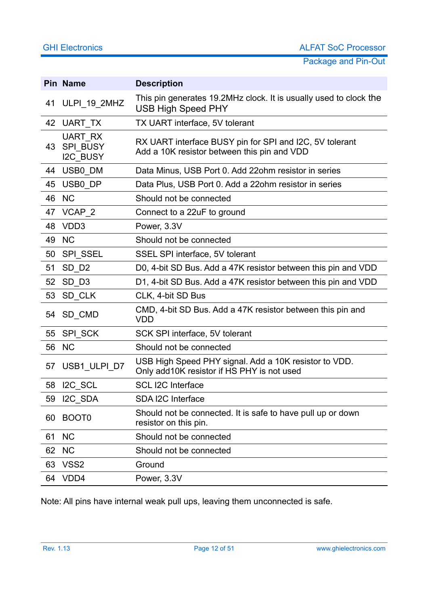|    | <b>Pin Name</b>                               | <b>Description</b>                                                                                     |
|----|-----------------------------------------------|--------------------------------------------------------------------------------------------------------|
| 41 | ULPI_19_2MHZ                                  | This pin generates 19.2MHz clock. It is usually used to clock the<br><b>USB High Speed PHY</b>         |
| 42 | UART TX                                       | TX UART interface, 5V tolerant                                                                         |
| 43 | UART RX<br><b>SPI BUSY</b><br><b>I2C BUSY</b> | RX UART interface BUSY pin for SPI and I2C, 5V tolerant<br>Add a 10K resistor between this pin and VDD |
| 44 | USB0_DM                                       | Data Minus, USB Port 0. Add 22ohm resistor in series                                                   |
| 45 | USB0 DP                                       | Data Plus, USB Port 0. Add a 22ohm resistor in series                                                  |
| 46 | <b>NC</b>                                     | Should not be connected                                                                                |
| 47 | VCAP_2                                        | Connect to a 22uF to ground                                                                            |
| 48 | VDD3                                          | Power, 3.3V                                                                                            |
| 49 | <b>NC</b>                                     | Should not be connected                                                                                |
| 50 | <b>SPI SSEL</b>                               | SSEL SPI interface, 5V tolerant                                                                        |
| 51 | SD D <sub>2</sub>                             | D0, 4-bit SD Bus. Add a 47K resistor between this pin and VDD                                          |
| 52 | $SD_$ 03                                      | D1, 4-bit SD Bus. Add a 47K resistor between this pin and VDD                                          |
| 53 | SD CLK                                        | CLK, 4-bit SD Bus                                                                                      |
| 54 | SD_CMD                                        | CMD, 4-bit SD Bus. Add a 47K resistor between this pin and<br><b>VDD</b>                               |
| 55 | SPI_SCK                                       | SCK SPI interface, 5V tolerant                                                                         |
| 56 | <b>NC</b>                                     | Should not be connected                                                                                |
| 57 | USB1_ULPI_D7                                  | USB High Speed PHY signal. Add a 10K resistor to VDD.<br>Only add10K resistor if HS PHY is not used    |
| 58 | I2C_SCL                                       | <b>SCL I2C Interface</b>                                                                               |
| 59 | I2C SDA                                       | SDA I2C Interface                                                                                      |
| 60 | BOOT <sub>0</sub>                             | Should not be connected. It is safe to have pull up or down<br>resistor on this pin.                   |
| 61 | <b>NC</b>                                     | Should not be connected                                                                                |
| 62 | <b>NC</b>                                     | Should not be connected                                                                                |
| 63 | VSS <sub>2</sub>                              | Ground                                                                                                 |
| 64 | VDD4                                          | Power, 3.3V                                                                                            |

Note: All pins have internal weak pull ups, leaving them unconnected is safe.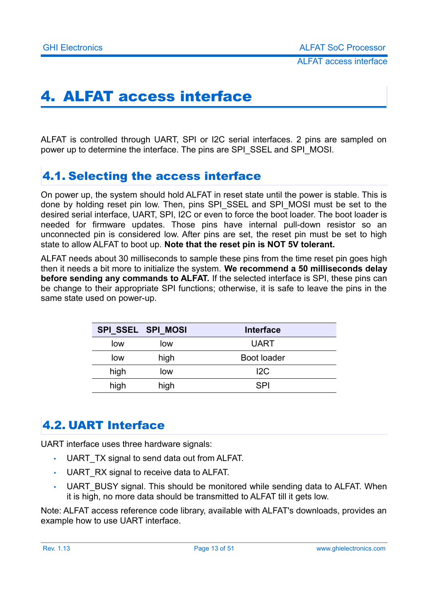# <span id="page-12-2"></span>4. ALFAT access interface

ALFAT is controlled through UART, SPI or I2C serial interfaces. 2 pins are sampled on power up to determine the interface. The pins are SPI\_SSEL and SPI\_MOSI.

### <span id="page-12-1"></span>4.1. Selecting the access interface

On power up, the system should hold ALFAT in reset state until the power is stable. This is done by holding reset pin low. Then, pins SPI\_SSEL and SPI\_MOSI must be set to the desired serial interface, UART, SPI, I2C or even to force the boot loader. The boot loader is needed for firmware updates. Those pins have internal pull-down resistor so an unconnected pin is considered low. After pins are set, the reset pin must be set to high state to allow ALFAT to boot up. **Note that the reset pin is NOT 5V tolerant.**

ALFAT needs about 30 milliseconds to sample these pins from the time reset pin goes high then it needs a bit more to initialize the system. **We recommend a 50 milliseconds delay before sending any commands to ALFAT.** If the selected interface is SPI, these pins can be change to their appropriate SPI functions; otherwise, it is safe to leave the pins in the same state used on power-up.

|      | SPI SSEL SPI MOSI | <b>Interface</b> |
|------|-------------------|------------------|
| low  | low               | <b>UART</b>      |
| low  | high              | Boot loader      |
| high | low               | 12C              |
| high | high              | <b>SPI</b>       |

### <span id="page-12-0"></span>4.2. UART Interface

UART interface uses three hardware signals:

- UART TX signal to send data out from ALFAT.
- UART\_RX signal to receive data to ALFAT.
- UART BUSY signal. This should be monitored while sending data to ALFAT. When it is high, no more data should be transmitted to ALFAT till it gets low.

Note: ALFAT access reference code library, available with ALFAT's downloads, provides an example how to use UART interface.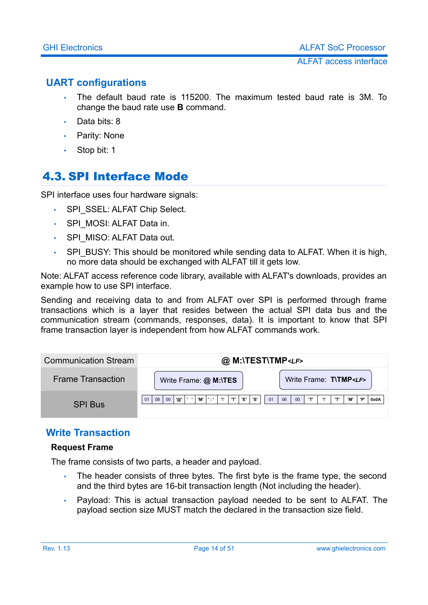#### <span id="page-13-2"></span>**UART configurations**

- The default baud rate is 115200. The maximum tested baud rate is 3M. To change the baud rate use **B** command.
- Data bits: 8
- Parity: None
- <span id="page-13-0"></span>• Stop bit: 1

### 4.3. SPI Interface Mode

SPI interface uses four hardware signals:

- SPI\_SSEL: ALFAT Chip Select.
- SPI\_MOSI: ALFAT Data in.
- SPI\_MISO: ALFAT Data out.
- SPI\_BUSY: This should be monitored while sending data to ALFAT. When it is high, no more data should be exchanged with ALFAT till it gets low.

Note: ALFAT access reference code library, available with ALFAT's downloads, provides an example how to use SPI interface.

Sending and receiving data to and from ALFAT over SPI is performed through frame transactions which is a layer that resides between the actual SPI data bus and the communication stream (commands, responses, data). It is important to know that SPI frame transaction layer is independent from how ALFAT commands work.

| <b>Communication Stream</b> | @ M:\TEST\TMP <lf></lf>                                                      |                                              |
|-----------------------------|------------------------------------------------------------------------------|----------------------------------------------|
| <b>Frame Transaction</b>    | Write Frame: @ M:\TES                                                        | Write Frame: T\TMP <lf></lf>                 |
| <b>SPI Bus</b>              | 'M'<br>00<br>$\cdots$<br>T<br>'F'<br>'@'<br><b></b><br>'S'<br>01<br>08<br>01 | יםי<br>00<br>T<br>'M'<br>T<br><br>06<br>0x0A |

#### <span id="page-13-1"></span>**Write Transaction**

#### **Request Frame**

The frame consists of two parts, a header and payload.

- The header consists of three bytes. The first byte is the frame type, the second and the third bytes are 16-bit transaction length (Not including the header).
- Payload: This is actual transaction payload needed to be sent to ALFAT. The payload section size MUST match the declared in the transaction size field.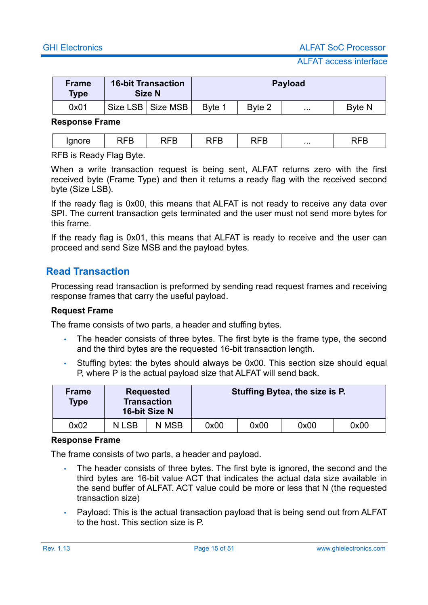ALFAT access interface

| <b>Frame</b><br><b>Type</b> | <b>16-bit Transaction</b><br><b>Size N</b> |        |        | <b>Payload</b>    |               |
|-----------------------------|--------------------------------------------|--------|--------|-------------------|---------------|
| 0x01                        | Size LSB   Size MSB                        | Byte 1 | Byte 2 | $\sim$ 0.00 $\pm$ | <b>Byte N</b> |

#### **Response Frame**

| . . |  | $\ddot{\phantom{0}}$ | - -<br>∼ |  | _ | . | _ |
|-----|--|----------------------|----------|--|---|---|---|
|-----|--|----------------------|----------|--|---|---|---|

RFB is Ready Flag Byte.

When a write transaction request is being sent, ALFAT returns zero with the first received byte (Frame Type) and then it returns a ready flag with the received second byte (Size LSB).

If the ready flag is 0x00, this means that ALFAT is not ready to receive any data over SPI. The current transaction gets terminated and the user must not send more bytes for this frame.

If the ready flag is 0x01, this means that ALFAT is ready to receive and the user can proceed and send Size MSB and the payload bytes.

#### <span id="page-14-0"></span>**Read Transaction**

Processing read transaction is preformed by sending read request frames and receiving response frames that carry the useful payload.

#### **Request Frame**

The frame consists of two parts, a header and stuffing bytes.

- The header consists of three bytes. The first byte is the frame type, the second and the third bytes are the requested 16-bit transaction length.
- Stuffing bytes: the bytes should always be 0x00. This section size should equal P, where P is the actual payload size that ALFAT will send back.

| <b>Frame</b><br><b>Type</b> | <b>Requested</b><br><b>Transaction</b><br>16-bit Size N |       |      |      | Stuffing Bytea, the size is P. |      |
|-----------------------------|---------------------------------------------------------|-------|------|------|--------------------------------|------|
| 0x02                        | N LSB                                                   | N MSB | 0x00 | 0x00 | 0x00                           | 0x00 |

#### **Response Frame**

The frame consists of two parts, a header and payload.

- The header consists of three bytes. The first byte is ignored, the second and the third bytes are 16-bit value ACT that indicates the actual data size available in the send buffer of ALFAT. ACT value could be more or less that N (the requested transaction size)
- Payload: This is the actual transaction payload that is being send out from ALFAT to the host. This section size is P.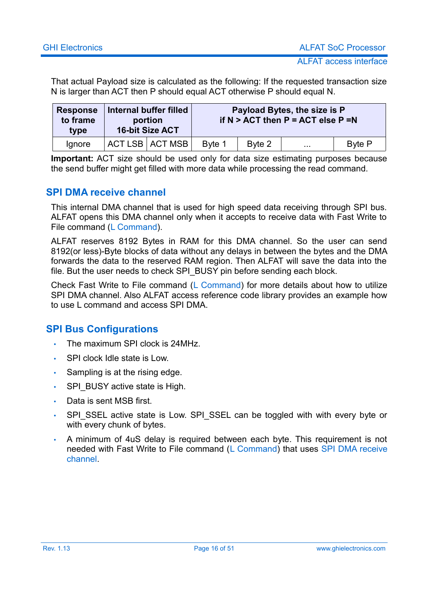That actual Payload size is calculated as the following: If the requested transaction size N is larger than ACT then P should equal ACT otherwise P should equal N.

| <b>Response</b><br>to frame<br>type | Internal buffer filled<br>portion<br><b>16-bit Size ACT</b> |                   |        |        | Payload Bytes, the size is P<br>if $N > ACT$ then $P = ACT$ else $P = N$ |               |
|-------------------------------------|-------------------------------------------------------------|-------------------|--------|--------|--------------------------------------------------------------------------|---------------|
| lgnore                              |                                                             | ACT LSB   ACT MSB | Byte 1 | Byte 2 | $\cdots$                                                                 | <b>Byte P</b> |

**Important:** ACT size should be used only for data size estimating purposes because the send buffer might get filled with more data while processing the read command.

#### <span id="page-15-1"></span>**SPI DMA receive channel**

This internal DMA channel that is used for high speed data receiving through SPI bus. ALFAT opens this DMA channel only when it accepts to receive data with Fast Write to File command [\(L Command\)](#page-28-0).

ALFAT reserves 8192 Bytes in RAM for this DMA channel. So the user can send 8192(or less)-Byte blocks of data without any delays in between the bytes and the DMA forwards the data to the reserved RAM region. Then ALFAT will save the data into the file. But the user needs to check SPI\_BUSY pin before sending each block.

Check Fast Write to File command [\(L Command\)](#page-28-0) for more details about how to utilize SPI DMA channel. Also ALFAT access reference code library provides an example how to use L command and access SPI DMA.

#### <span id="page-15-0"></span>**SPI Bus Configurations**

- The maximum SPI clock is 24MHz.
- SPI clock Idle state is Low.
- Sampling is at the rising edge.
- SPI\_BUSY active state is High.
- Data is sent MSB first.
- SPI\_SSEL active state is Low. SPI\_SSEL can be toggled with with every byte or with every chunk of bytes.
- A minimum of 4uS delay is required between each byte. This requirement is not needed with Fast Write to File command [\(L Command\)](#page-28-0) that uses [SPI DMA receive](#page-15-1) [channel.](#page-15-1)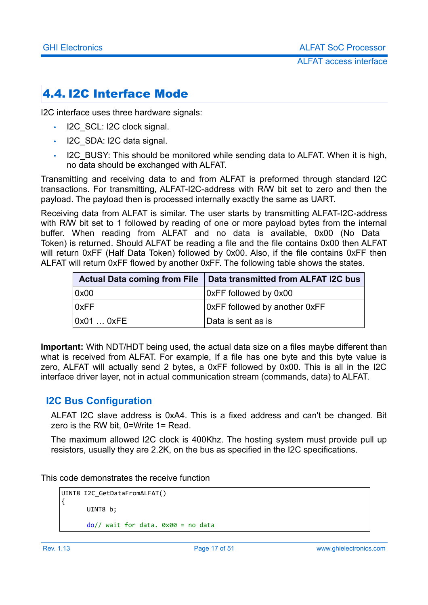### <span id="page-16-0"></span>4.4. I2C Interface Mode

I2C interface uses three hardware signals:

- I2C\_SCL: I2C clock signal.
- I2C SDA: I2C data signal.
- I2C BUSY: This should be monitored while sending data to ALFAT. When it is high, no data should be exchanged with ALFAT.

Transmitting and receiving data to and from ALFAT is preformed through standard I2C transactions. For transmitting, ALFAT-I2C-address with R/W bit set to zero and then the payload. The payload then is processed internally exactly the same as UART.

Receiving data from ALFAT is similar. The user starts by transmitting ALFAT-I2C-address with R/W bit set to 1 followed by reading of one or more payload bytes from the internal buffer. When reading from ALFAT and no data is available, 0x00 (No Data Token) is returned. Should ALFAT be reading a file and the file contains 0x00 then ALFAT will return 0xFF (Half Data Token) followed by 0x00. Also, if the file contains 0xFF then ALFAT will return 0xFF flowed by another 0xFF. The following table shows the states.

| <b>Actual Data coming from File</b> | Data transmitted from ALFAT I2C bus |
|-------------------------------------|-------------------------------------|
| 0x00                                | OxFF followed by 0x00               |
| 0xFF                                | OxFF followed by another OxFF       |
| 0x010xFE                            | Data is sent as is                  |

**Important:** With NDT/HDT being used, the actual data size on a files maybe different than what is received from ALFAT. For example, If a file has one byte and this byte value is zero, ALFAT will actually send 2 bytes, a 0xFF followed by 0x00. This is all in the I2C interface driver layer, not in actual communication stream (commands, data) to ALFAT.

#### <span id="page-16-1"></span>**I2C Bus Configuration**

ALFAT I2C slave address is 0xA4. This is a fixed address and can't be changed. Bit zero is the RW bit, 0=Write 1= Read.

The maximum allowed I2C clock is 400Khz. The hosting system must provide pull up resistors, usually they are 2.2K, on the bus as specified in the I2C specifications.

This code demonstrates the receive function

```
UINT8 I2C_GetDataFromALFAT()
{
      UTNT8 b:
      do// wait for data. 0x00 = no data
```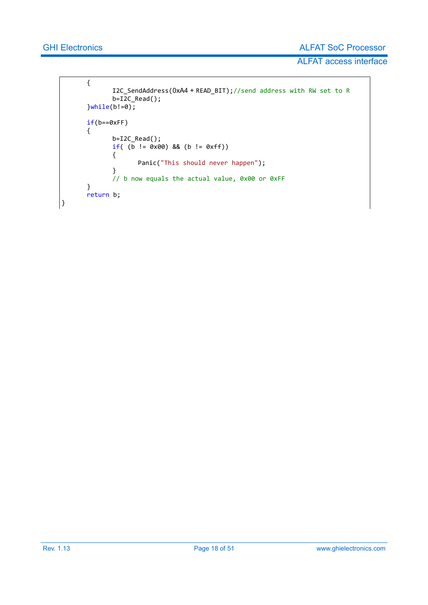}

ALFAT access interface

```
{
       I2C_SendAddress(0xA4 + READ_BIT);//send address with RW set to R
       b=I2C Read();
}\text{while}(b!=0);if(b==0xFF){
       b=I2C_Read();
       if( (b = 0 \times 00) && (b != 0 \times f))
       {
              Panic("This should never happen");
       }
       // b now equals the actual value, 0x00 or 0xFF
}
return b;
```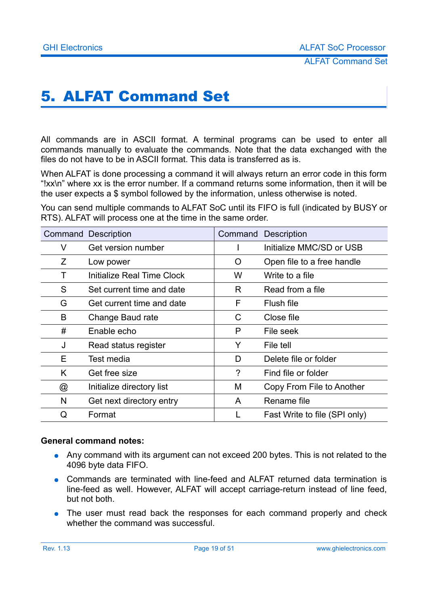# <span id="page-18-0"></span>5. ALFAT Command Set

All commands are in ASCII format. A terminal programs can be used to enter all commands manually to evaluate the commands. Note that the data exchanged with the files do not have to be in ASCII format. This data is transferred as is.

When ALFAT is done processing a command it will always return an error code in this form "!xx\n" where xx is the error number. If a command returns some information, then it will be the user expects a \$ symbol followed by the information, unless otherwise is noted.

You can send multiple commands to ALFAT SoC until its FIFO is full (indicated by BUSY or RTS). ALFAT will process one at the time in the same order.

| <b>Command Description</b> |                            |   | <b>Command Description</b>    |
|----------------------------|----------------------------|---|-------------------------------|
| V                          | Get version number         |   | Initialize MMC/SD or USB      |
| Z                          | Low power                  | Ő | Open file to a free handle    |
|                            | Initialize Real Time Clock | W | Write to a file               |
| S                          | Set current time and date  | R | Read from a file              |
| G                          | Get current time and date  | F | Flush file                    |
| B                          | Change Baud rate           | C | Close file                    |
| #                          | Enable echo                | P | File seek                     |
| J                          | Read status register       | Y | File tell                     |
| E.                         | Test media                 | D | Delete file or folder         |
| K                          | Get free size              | ? | Find file or folder           |
| @                          | Initialize directory list  | Μ | Copy From File to Another     |
| N                          | Get next directory entry   | A | Rename file                   |
| Q                          | Format                     |   | Fast Write to file (SPI only) |

#### **General command notes:**

- Any command with its argument can not exceed 200 bytes. This is not related to the 4096 byte data FIFO.
- Commands are terminated with line-feed and ALFAT returned data termination is line-feed as well. However, ALFAT will accept carriage-return instead of line feed, but not both.
- The user must read back the responses for each command properly and check whether the command was successful.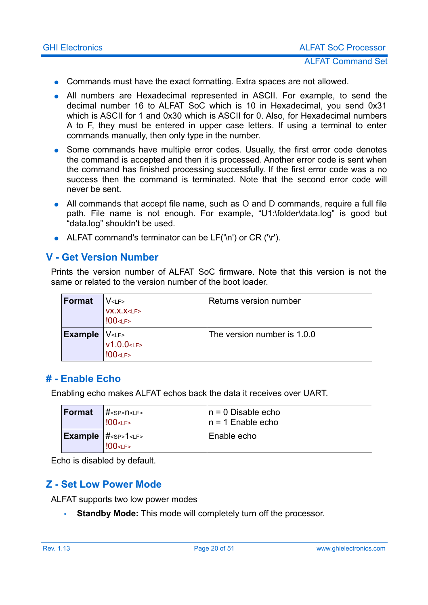- Commands must have the exact formatting. Extra spaces are not allowed.
- All numbers are Hexadecimal represented in ASCII. For example, to send the decimal number 16 to ALFAT SoC which is 10 in Hexadecimal, you send 0x31 which is ASCII for 1 and 0x30 which is ASCII for 0. Also, for Hexadecimal numbers A to F, they must be entered in upper case letters. If using a terminal to enter commands manually, then only type in the number.
- Some commands have multiple error codes. Usually, the first error code denotes the command is accepted and then it is processed. Another error code is sent when the command has finished processing successfully. If the first error code was a no success then the command is terminated. Note that the second error code will never be sent.
- All commands that accept file name, such as O and D commands, require a full file path. File name is not enough. For example, "U1:\folder\data.log" is good but "data.log" shouldn't be used.
- ALFAT command's terminator can be LF('\n') or CR ('\r').

#### <span id="page-19-2"></span>**V - Get Version Number**

Prints the version number of ALFAT SoC firmware. Note that this version is not the same or related to the version number of the boot loader.

| Format | V <sub>CF&gt;</sub>                 | Returns version number      |
|--------|-------------------------------------|-----------------------------|
|        | VX.X.X < LF<br>$100$ < LF >         |                             |
|        |                                     |                             |
|        |                                     | The version number is 1.0.0 |
|        | <b>Example</b> $VLF>$<br>$V1.0.0LF$ |                             |
|        | <b>!00<lf></lf></b>                 |                             |

#### <span id="page-19-1"></span>**# - Enable Echo**

Enabling echo makes ALFAT echos back the data it receives over UART.

| <b>Format</b> | # <sp>n<lf><br/><b>!00<lf></lf></b></lf></sp>                        | $n = 0$ Disable echo<br>$\ln$ = 1 Enable echo |
|---------------|----------------------------------------------------------------------|-----------------------------------------------|
|               | <b>Example</b> $ #1$ <sub><lp>&gt;</lp></sub><br><b>!00<lf></lf></b> | Enable echo                                   |

Echo is disabled by default.

#### <span id="page-19-0"></span>**Z - Set Low Power Mode**

ALFAT supports two low power modes

• **Standby Mode:** This mode will completely turn off the processor.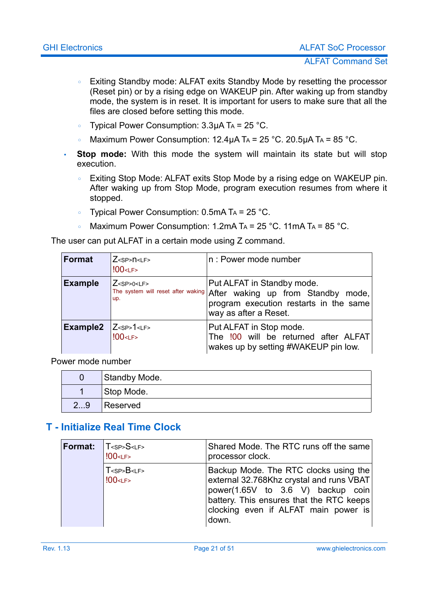- Exiting Standby mode: ALFAT exits Standby Mode by resetting the processor (Reset pin) or by a rising edge on WAKEUP pin. After waking up from standby mode, the system is in reset. It is important for users to make sure that all the files are closed before setting this mode.
- Typical Power Consumption: 3.3μA TA = 25 °C.
- Maximum Power Consumption:  $12.4\mu$ A T<sub>A</sub> =  $25\textdegree$ C.  $20.5\mu$ A T<sub>A</sub> =  $85\textdegree$ C.
- **Stop mode:** With this mode the system will maintain its state but will stop execution.
	- Exiting Stop Mode: ALFAT exits Stop Mode by a rising edge on WAKEUP pin. After waking up from Stop Mode, program execution resumes from where it stopped.
	- Typical Power Consumption: 0.5mA TA = 25 °C.
	- Maximum Power Consumption: 1.2mA T<sub>A</sub> = 25 °C. 11mA T<sub>A</sub> = 85 °C.

The user can put ALFAT in a certain mode using Z command.

| Format               | $Z$ <sp><math>n</math><lf><br/><math>100</math> &lt; LF &gt;</lf></sp> | n: Power mode number                                                                                                                                                   |
|----------------------|------------------------------------------------------------------------|------------------------------------------------------------------------------------------------------------------------------------------------------------------------|
| <b>Example</b>       | $Z$ <sp>0<lf><br/>up.</lf></sp>                                        | Put ALFAT in Standby mode.<br>The system will reset after waking After waking up from Standby mode,<br>program execution restarts in the same<br>way as after a Reset. |
| Example <sub>2</sub> | $Z<$ SP>1 <lf><br/><math>100</math> &lt; LF &gt;</lf>                  | Put ALFAT in Stop mode.<br>The !00 will be returned after ALFAT<br>wakes up by setting #WAKEUP pin low.                                                                |

Power mode number

|    | Standby Mode. |
|----|---------------|
|    | Stop Mode.    |
| 29 | Reserved      |

#### <span id="page-20-0"></span>**T - Initialize Real Time Clock**

| Format: | $ T_{\le SP}S_{\le LF}$<br>$100$ <lf></lf> | Shared Mode. The RTC runs off the same<br>processor clock.                                                                                                                                                          |
|---------|--------------------------------------------|---------------------------------------------------------------------------------------------------------------------------------------------------------------------------------------------------------------------|
|         | $T <$ SP> $B < LF$ ><br>$100$ < LF >       | Backup Mode. The RTC clocks using the<br>external 32.768Khz crystal and runs VBAT<br>power(1.65V to 3.6 V) backup coin<br>battery. This ensures that the RTC keeps<br>clocking even if ALFAT main power is<br>down. |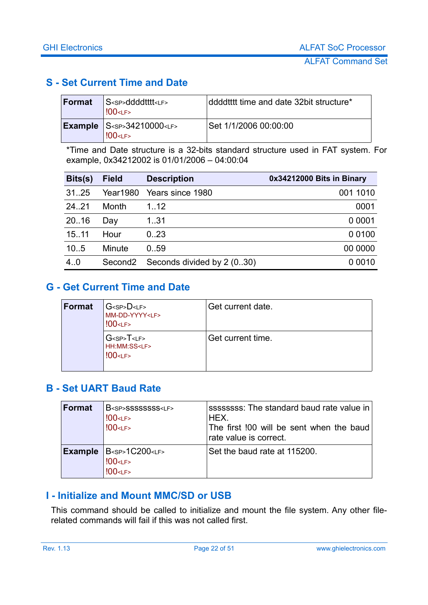#### <span id="page-21-3"></span>**S - Set Current Time and Date**

| Format | S <sp>ddddtttt<lf><br/><math>!00</math> &lt; LF &gt;</lf></sp>                    | ddddtttt time and date 32bit structure* |
|--------|-----------------------------------------------------------------------------------|-----------------------------------------|
|        | $\textsf{Example}$ S <sp>34210000<lf><br/><math>!00</math> &lt; LF &gt;</lf></sp> | Set 1/1/2006 00:00:00                   |

\*Time and Date structure is a 32-bits standard structure used in FAT system. For example, 0x34212002 is 01/01/2006 – 04:00:04

| Bits(s) | <b>Field</b>        | <b>Description</b>         | 0x34212000 Bits in Binary |
|---------|---------------------|----------------------------|---------------------------|
| 31.25   | <b>Year1980</b>     | Years since 1980           | 001 1010                  |
| 24.21   | Month               | 1.12                       | 0001                      |
| 20.16   | Dav                 | 131                        | 0 0 0 0 1                 |
| 15.11   | Hour                | 0.23                       | 0 0 1 0 0                 |
| 10.5    | Minute              | 0.59                       | 00 0000                   |
| 4.0     | Second <sub>2</sub> | Seconds divided by 2 (030) | 0 0 0 1 0                 |

#### <span id="page-21-2"></span>**G - Get Current Time and Date**

| Format | G <sp&gt;d&lt;lf&gt;<br>MM-DD-YYYY<lf><br/><math>100</math> &lt; LF &gt;</lf></sp&gt;d&lt;lf&gt;<br> | Get current date. |
|--------|------------------------------------------------------------------------------------------------------|-------------------|
|        | G <sp>T<lf><br/>HH:MM:SS<lf><br/><math>100</math> &lt; LF &gt;</lf></lf></sp>                        | Get current time. |

#### <span id="page-21-1"></span>**B - Set UART Baud Rate**

| <b>Format</b> | B <sp>SSSSSSSSS<lf><br/>!00<lf><br/><math>100</math> &lt; LF &gt;</lf></lf></sp> | ssssssss: The standard baud rate value in<br>HEX.<br>The first 100 will be sent when the baud<br>rate value is correct. |
|---------------|----------------------------------------------------------------------------------|-------------------------------------------------------------------------------------------------------------------------|
|               | <b>Example</b> $ B1C200$<br>$100$ < LF ><br>$100$ < $LF$ >                       | Set the baud rate at 115200.                                                                                            |

#### <span id="page-21-0"></span>**I - Initialize and Mount MMC/SD or USB**

This command should be called to initialize and mount the file system. Any other filerelated commands will fail if this was not called first.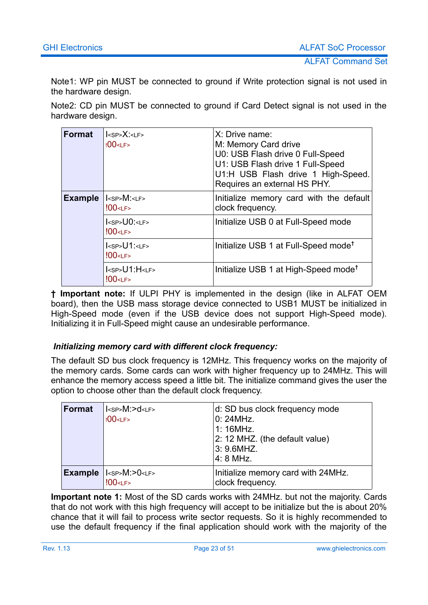Note1: WP pin MUST be connected to ground if Write protection signal is not used in the hardware design.

Note2: CD pin MUST be connected to ground if Card Detect signal is not used in the hardware design.

| <b>Format</b>  | $ <$ SP> $X$ : <lf><br/><math>100</math> &lt; LF &gt;</lf>            | X: Drive name:<br>M: Memory Card drive<br>U0: USB Flash drive 0 Full-Speed<br>U1: USB Flash drive 1 Full-Speed<br>U1:H USB Flash drive 1 High-Speed.<br>Requires an external HS PHY. |
|----------------|-----------------------------------------------------------------------|--------------------------------------------------------------------------------------------------------------------------------------------------------------------------------------|
| <b>Example</b> | $ $ <sp><math>M</math>: <lf><br/><math>100</math> <lf></lf></lf></sp> | Initialize memory card with the default<br>clock frequency.                                                                                                                          |
|                | $ <$ SP> $U0$ : $<$ LF><br>$!00$ < LF >                               | Initialize USB 0 at Full-Speed mode                                                                                                                                                  |
|                | $ <$ sp> $U1$ : <lf><br/><math>100</math> <lf></lf></lf>              | Initialize USB 1 at Full-Speed mode <sup>†</sup>                                                                                                                                     |
|                | $I<$ sp> $U1$ : H <lf><br/><math>100</math> &lt; LF &gt;</lf>         | Initialize USB 1 at High-Speed mode <sup>t</sup>                                                                                                                                     |

**† Important note:** If ULPI PHY is implemented in the design (like in ALFAT OEM board), then the USB mass storage device connected to USB1 MUST be initialized in High-Speed mode (even if the USB device does not support High-Speed mode). Initializing it in Full-Speed might cause an undesirable performance.

#### *Initializing memory card with different clock frequency:*

The default SD bus clock frequency is 12MHz. This frequency works on the majority of the memory cards. Some cards can work with higher frequency up to 24MHz. This will enhance the memory access speed a little bit. The initialize command gives the user the option to choose other than the default clock frequency.

| <b>Format</b>  | $IM$ : $>$ d $<$ LF $>$<br>$100$ < LF >                             | d: SD bus clock frequency mode<br>0:24MHz.<br>1:16MHz.<br>2: 12 MHZ. (the default value)<br>3: 9.6MHZ.<br>4: 8 MHz. |
|----------------|---------------------------------------------------------------------|---------------------------------------------------------------------------------------------------------------------|
| <b>Example</b> | I <sub><sp></sp></sub> M:>0 <lf><br/><math>100</math><lf></lf></lf> | Initialize memory card with 24MHz.<br>clock frequency.                                                              |

**Important note 1:** Most of the SD cards works with 24MHz. but not the majority. Cards that do not work with this high frequency will accept to be initialize but the is about 20% chance that it will fail to process write sector requests. So it is highly recommended to use the default frequency if the final application should work with the majority of the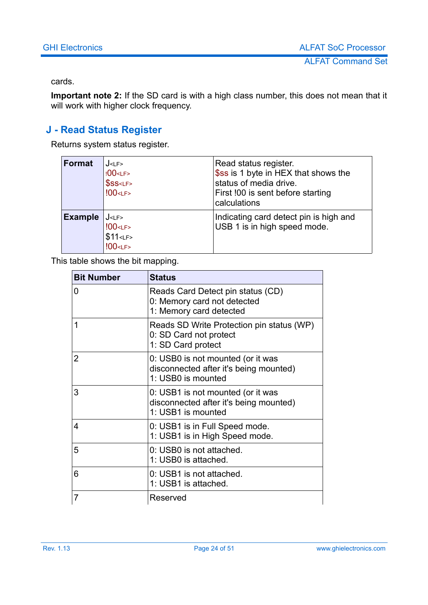#### cards.

**Important note 2:** If the SD card is with a high class number, this does not mean that it will work with higher clock frequency.

#### <span id="page-23-0"></span>**J - Read Status Register**

Returns system status register.

| <b>Format</b>  | J < LF ><br>!00 <lf><br/>\$SS &lt; LF<br/><math>100</math> &lt; LF &gt;</lf>     | Read status register.<br>\$ss is 1 byte in HEX that shows the<br>status of media drive.<br>First !00 is sent before starting<br>calculations |
|----------------|----------------------------------------------------------------------------------|----------------------------------------------------------------------------------------------------------------------------------------------|
| <b>Example</b> | J < LF ><br>$100$ <lf><br/>\$11<sub>CF</sub><br/><math>100</math> <lf></lf></lf> | Indicating card detect pin is high and<br>USB 1 is in high speed mode.                                                                       |

This table shows the bit mapping.

| <b>Bit Number</b> | <b>Status</b>                                                                                     |
|-------------------|---------------------------------------------------------------------------------------------------|
| $\overline{0}$    | Reads Card Detect pin status (CD)<br>0: Memory card not detected<br>1: Memory card detected       |
| 1                 | Reads SD Write Protection pin status (WP)<br>0: SD Card not protect<br>1: SD Card protect         |
| $\overline{2}$    | 0: USB0 is not mounted (or it was<br>disconnected after it's being mounted)<br>1: USB0 is mounted |
| 3                 | 0: USB1 is not mounted (or it was<br>disconnected after it's being mounted)<br>1: USB1 is mounted |
| 4                 | 0: USB1 is in Full Speed mode.<br>1: USB1 is in High Speed mode.                                  |
| 5                 | 0. USB0 is not attached.<br>1: USB0 is attached.                                                  |
| 6                 | 0. USB1 is not attached.<br>1: USB1 is attached.                                                  |
| $\overline{7}$    | Reserved                                                                                          |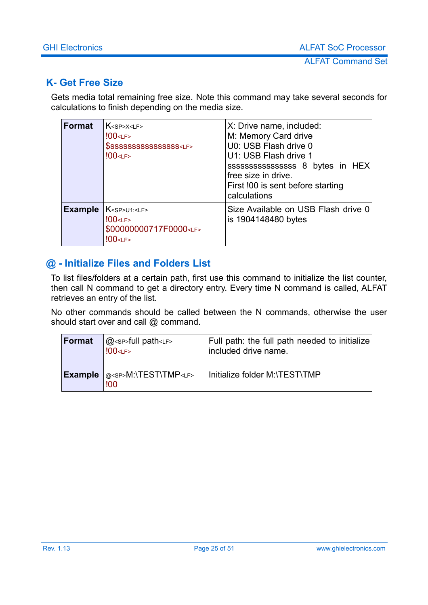#### <span id="page-24-1"></span>**K- Get Free Size**

Gets media total remaining free size. Note this command may take several seconds for calculations to finish depending on the media size.

| <b>Format</b>  | $K$ <sp> <math>X</math> &lt; I F &gt;<br/><math>100</math> &lt; LF &gt;<br/>\$SSSSSSSSSSSSSSSS<lf><br/><math>100</math> &lt;<math>LF</math>&gt;</lf></sp> | X: Drive name, included:<br>M: Memory Card drive<br>U0: USB Flash drive 0<br>U1: USB Flash drive 1<br>ssssssssssssssssss 8 bytes in HEX<br>free size in drive.<br>First !00 is sent before starting<br>calculations |
|----------------|-----------------------------------------------------------------------------------------------------------------------------------------------------------|---------------------------------------------------------------------------------------------------------------------------------------------------------------------------------------------------------------------|
| <b>Example</b> | $K$ <sp>U1:<lf><br/><math>100</math> &lt; LF &gt;<br/>\$00000000717F0000<lf><br/><math>100</math> &lt; LF &gt;</lf></lf></sp>                             | Size Available on USB Flash drive 0<br>is 1904148480 bytes                                                                                                                                                          |

### <span id="page-24-0"></span>**@ - Initialize Files and Folders List**

To list files/folders at a certain path, first use this command to initialize the list counter, then call N command to get a directory entry. Every time N command is called, ALFAT retrieves an entry of the list.

No other commands should be called between the N commands, otherwise the user should start over and call @ command.

| Format         | $@$ <sp>full path <lf><br/><math>100</math> &lt; LF &gt;</lf></sp> | Full path: the full path needed to initialize<br>included drive name. |
|----------------|--------------------------------------------------------------------|-----------------------------------------------------------------------|
| <b>Example</b> | @ <sp>M:\TEST\TMP<lf><br/>!00</lf></sp>                            | Initialize folder M:\TEST\TMP                                         |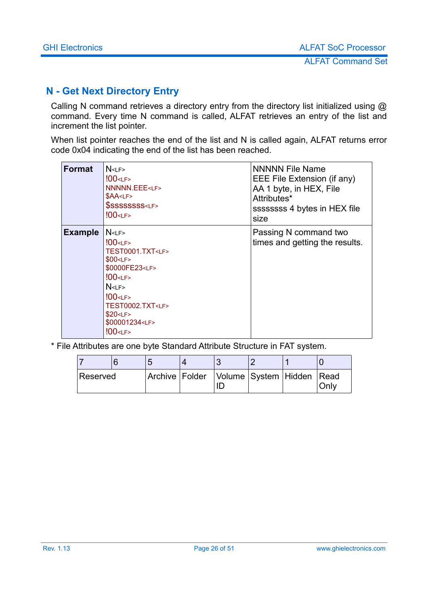#### <span id="page-25-0"></span>**N - Get Next Directory Entry**

Calling N command retrieves a directory entry from the directory list initialized using @ command. Every time N command is called, ALFAT retrieves an entry of the list and increment the list pointer.

When list pointer reaches the end of the list and N is called again, ALFAT returns error code 0x04 indicating the end of the list has been reached.

| <b>Format</b>  | N <sub>CF</sub><br>$100$ < LF ><br><b>NNNNN.EEE<lf></lf></b><br>\$AA <lf><br/>\$SSSSSSSS<lf><br/><math>100</math> <lf></lf></lf></lf>                                                                                                                                                  | <b>NNNNN File Name</b><br>EEE File Extension (if any)<br>AA 1 byte, in HEX, File<br>Attributes*<br>ssssssss 4 bytes in HEX file<br>size |
|----------------|----------------------------------------------------------------------------------------------------------------------------------------------------------------------------------------------------------------------------------------------------------------------------------------|-----------------------------------------------------------------------------------------------------------------------------------------|
| <b>Example</b> | N <sub>CF</sub><br>$100$ < $LF$ ><br>TEST0001.TXT <lf><br/>\$00<sub>CF</sub><br/>\$0000FE23<lf><br/><math>100</math> &lt; LF &gt;<br/>N<sub>CF</sub><br/><math>100</math> <lf><br/>TEST0002.TXT<lf><br/>\$20<sub>CF</sub><br/>\$00001234<lf><br/>!00<lf></lf></lf></lf></lf></lf></lf> | Passing N command two<br>times and getting the results.                                                                                 |

\* File Attributes are one byte Standard Attribute Structure in FAT system.

| Reserved |  | Archive Folder Volume System Hidden Read |  | Only |
|----------|--|------------------------------------------|--|------|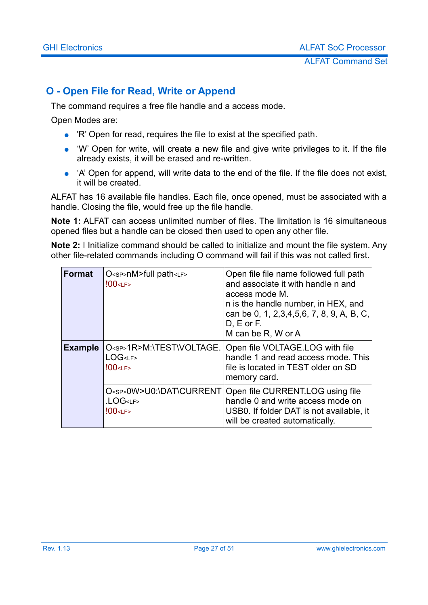#### <span id="page-26-0"></span>**O - Open File for Read, Write or Append**

The command requires a free file handle and a access mode.

Open Modes are:

- 'R' Open for read, requires the file to exist at the specified path.
- 'W' Open for write, will create a new file and give write privileges to it. If the file already exists, it will be erased and re-written.
- 'A' Open for append, will write data to the end of the file. If the file does not exist, it will be created.

ALFAT has 16 available file handles. Each file, once opened, must be associated with a handle. Closing the file, would free up the file handle.

**Note 1:** ALFAT can access unlimited number of files. The limitation is 16 simultaneous opened files but a handle can be closed then used to open any other file.

**Note 2:** I Initialize command should be called to initialize and mount the file system. Any other file-related commands including O command will fail if this was not called first.

| <b>Format</b>  | O <sp>nM&gt;full path<lf><br/><math>100</math> &lt; LF &gt;</lf></sp>                | Open file file name followed full path<br>and associate it with handle n and<br>access mode M.<br>n is the handle number, in HEX, and<br>can be 0, 1, 2, 3, 4, 5, 6, 7, 8, 9, A, B, C,<br>$D, E$ or $F.$<br>M can be R, W or A |
|----------------|--------------------------------------------------------------------------------------|--------------------------------------------------------------------------------------------------------------------------------------------------------------------------------------------------------------------------------|
| <b>Example</b> | O <sp>1R&gt;M:\TEST\VOLTAGE.<br/>LOG<lf><br/><math>!00</math> &lt; LF &gt;</lf></sp> | Open file VOLTAGE.LOG with file<br>handle 1 and read access mode. This<br>file is located in TEST older on SD<br>memory card.                                                                                                  |
|                | O <sp>0W&gt;U0:\DAT\CURRENT<br/>.LOG<lf><br/><math>100</math> &lt; LF &gt;</lf></sp> | Open file CURRENT.LOG using file<br>handle 0 and write access mode on<br>USB0. If folder DAT is not available, it<br>will be created automatically.                                                                            |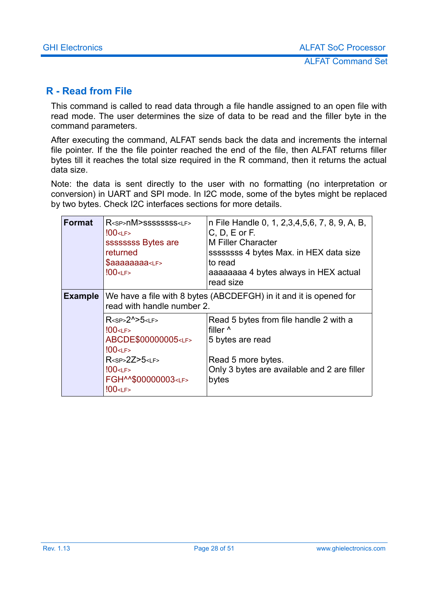#### <span id="page-27-0"></span>**R - Read from File**

This command is called to read data through a file handle assigned to an open file with read mode. The user determines the size of data to be read and the filler byte in the command parameters.

After executing the command, ALFAT sends back the data and increments the internal file pointer. If the the file pointer reached the end of the file, then ALFAT returns filler bytes till it reaches the total size required in the R command, then it returns the actual data size.

Note: the data is sent directly to the user with no formatting (no interpretation or conversion) in UART and SPI mode. In I2C mode, some of the bytes might be replaced by two bytes. Check I2C interfaces sections for more details.

| Format         | R <sp>nM&gt;SSSSSSSSS<lf><br/><math>!00</math> &lt; LF &gt;<br/>ssssssss Bytes are<br/>returned<br/><math>\$a}</math>aaaaaa<math>a</math>&lt;<math>L</math>F&gt;<br/><math>100</math> <lf></lf></lf></sp>               | n File Handle 0, 1, 2,3,4,5,6, 7, 8, 9, A, B,<br>$C, D, E$ or $F.$<br><b>M Filler Character</b><br>ssssssss 4 bytes Max. in HEX data size<br>to read<br>aaaaaaaa 4 bytes always in HEX actual<br>read size |  |  |
|----------------|-------------------------------------------------------------------------------------------------------------------------------------------------------------------------------------------------------------------------|------------------------------------------------------------------------------------------------------------------------------------------------------------------------------------------------------------|--|--|
| <b>Example</b> | We have a file with 8 bytes (ABCDEFGH) in it and it is opened for<br>read with handle number 2.                                                                                                                         |                                                                                                                                                                                                            |  |  |
|                | $R2^N>5$<br>$100$ <lf><br/>ABCDE\$00000005<lf><br/><math>100</math> &lt; LF &gt;<br/>R<sp>2Z&gt;5<lf><br/><math>!00</math> &lt; LF &gt;<br/>FGH^^\$00000003<lf><br/><math>100</math> <lf></lf></lf></lf></sp></lf></lf> | Read 5 bytes from file handle 2 with a<br>filler <sup>^</sup><br>5 bytes are read<br>Read 5 more bytes.<br>Only 3 bytes are available and 2 are filler<br>bytes                                            |  |  |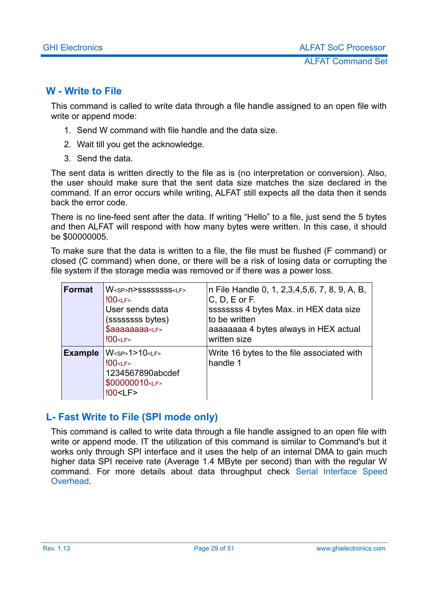#### <span id="page-28-1"></span>**W - Write to File**

This command is called to write data through a file handle assigned to an open file with write or append mode:

- 1. Send W command with file handle and the data size.
- 2. Wait till you get the acknowledge.
- 3. Send the data.

The sent data is written directly to the file as is (no interpretation or conversion). Also, the user should make sure that the sent data size matches the size declared in the command. If an error occurs while writing, ALFAT still expects all the data then it sends back the error code.

There is no line-feed sent after the data. If writing "Hello" to a file, just send the 5 bytes and then ALFAT will respond with how many bytes were written. In this case, it should be \$00000005.

To make sure that the data is written to a file, the file must be flushed (F command) or closed (C command) when done, or there will be a risk of losing data or corrupting the file system if the storage media was removed or if there was a power loss.

| <b>Format</b>  | W <sp>N&gt;SSSSSSSSS<lf><br/><math>!00</math> &lt; LF &gt;<br/>User sends data<br/>(ssssssss bytes)<br/>\$aaaaaaaa<lf><br/><math>100</math> &lt; LF &gt;</lf></lf></sp> | n File Handle 0, 1, 2,3,4,5,6, 7, 8, 9, A, B,<br>$C, D, E$ or F.<br>ssssssss 4 bytes Max. in HEX data size<br>to be written<br>aaaaaaaa 4 bytes always in HEX actual<br>written size |
|----------------|-------------------------------------------------------------------------------------------------------------------------------------------------------------------------|--------------------------------------------------------------------------------------------------------------------------------------------------------------------------------------|
| <b>Example</b> | W <sp>1&gt;10<lf><br/><math>100</math> &lt; LF &gt;<br/>1234567890abcdef<br/>\$00000010<lf><br/><math>100</math> &lt; LF &gt;</lf></lf></sp>                            | Write 16 bytes to the file associated with<br>handle 1                                                                                                                               |

#### <span id="page-28-0"></span>**L- Fast Write to File (SPI mode only)**

This command is called to write data through a file handle assigned to an open file with write or append mode. IT the utilization of this command is similar to Command's but it works only through SPI interface and it uses the help of an internal DMA to gain much higher data SPI receive rate (Average 1.4 MByte per second) than with the regular W command. For more details about data throughput check [Serial Interface Speed](#page-48-0) **Overhead**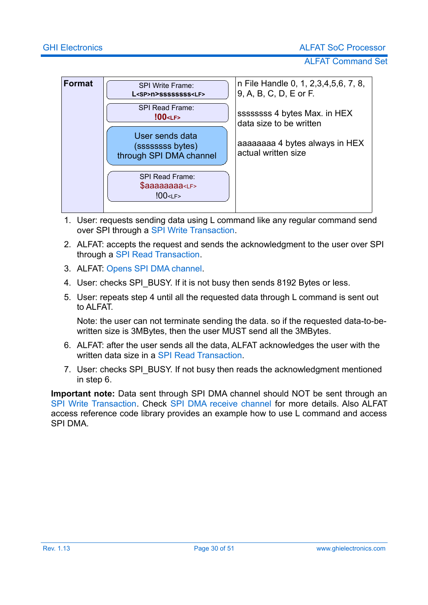ALFAT Command Set



- 1. User: requests sending data using L command like any regular command send over SPI through a [SPI Write Transaction.](#page-13-1)
- 2. ALFAT: accepts the request and sends the acknowledgment to the user over SPI through a [SPI Read Transaction.](#page-14-0)
- 3. ALFAT: [Opens SPI DMA channel.](#page-15-1)
- 4. User: checks SPI\_BUSY. If it is not busy then sends 8192 Bytes or less.
- 5. User: repeats step 4 until all the requested data through L command is sent out to ALFAT.

Note: the user can not terminate sending the data. so if the requested data-to-bewritten size is 3MBytes, then the user MUST send all the 3MBytes.

- 6. ALFAT: after the user sends all the data, ALFAT acknowledges the user with the written data size in a SPI Read Transaction
- 7. User: checks SPI\_BUSY. If not busy then reads the acknowledgment mentioned in step 6.

**Important note:** Data sent through SPI DMA channel should NOT be sent through an [SPI Write Transaction.](#page-13-1) Check [SPI DMA receive channel f](#page-15-1)or more details. Also ALFAT access reference code library provides an example how to use L command and access SPI DMA.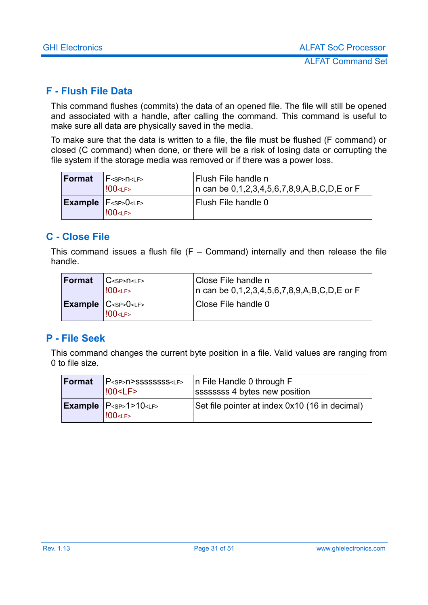#### <span id="page-30-2"></span>**F - Flush File Data**

This command flushes (commits) the data of an opened file. The file will still be opened and associated with a handle, after calling the command. This command is useful to make sure all data are physically saved in the media.

To make sure that the data is written to a file, the file must be flushed (F command) or closed (C command) when done, or there will be a risk of losing data or corrupting the file system if the storage media was removed or if there was a power loss.

| <b>Format</b> | $F$ <sp><math>n</math><lf><br/><math>100</math> &lt; LF &gt;</lf></sp> | Flush File handle n<br>n can be $0,1,2,3,4,5,6,7,8,9,A,B,C,D,E$ or F |
|---------------|------------------------------------------------------------------------|----------------------------------------------------------------------|
|               | <b>Example</b> $F0<LF>$<br>$100$ < LF >                                | Flush File handle 0                                                  |

#### <span id="page-30-1"></span>**C - Close File**

This command issues a flush file  $(F - Command)$  internally and then release the file handle.

| Format | C <sթ>n&lt;ւթ&gt;<br/><b>!00<lf></lf></b></sթ>                                                                         | Close File handle n<br>In can be 0,1,2,3,4,5,6,7,8,9,A,B,C,D,E or F |
|--------|------------------------------------------------------------------------------------------------------------------------|---------------------------------------------------------------------|
|        | $\mathsf{Example}$ $\mathsf{C}\text{-}\mathsf{SP}\text{-}\mathsf{O}\text{-}\mathsf{LF}\text{-}$<br><b>!00<lf></lf></b> | Close File handle 0                                                 |

#### <span id="page-30-0"></span>**P - File Seek**

This command changes the current byte position in a file. Valid values are ranging from 0 to file size.

| Format | P <sp>N&gt;SSSSSSSSS<lf><br/><math>100</math> &lt; LF &gt;</lf></sp> | In File Handle 0 through $F$<br>ssssssss 4 bytes new position |
|--------|----------------------------------------------------------------------|---------------------------------------------------------------|
|        | <b>Example</b> $ P_{\text{SPP}}  > 10$<br>$100$ < LF >               | Set file pointer at index 0x10 (16 in decimal)                |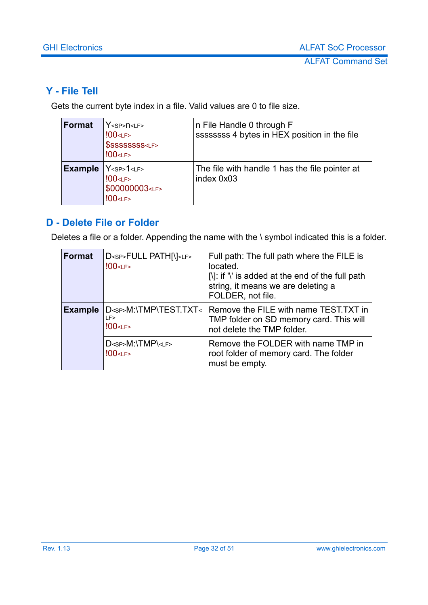#### <span id="page-31-1"></span>**Y - File Tell**

Gets the current byte index in a file. Valid values are 0 to file size.

| <b>Format</b>  | $Y$ <sp> <math>n</math> &lt; LF &gt;<br/><math>100</math> &lt; LF &gt;<br/>\$SSSSSSSS<lf><br/><math>100</math> &lt; LF &gt;</lf></sp> | n File Handle 0 through F<br>ssssssss 4 bytes in HEX position in the file |
|----------------|---------------------------------------------------------------------------------------------------------------------------------------|---------------------------------------------------------------------------|
| <b>Example</b> | Y <sp>1&lt;LF&gt;<br/><math>100</math> <lf><br/>\$00000003<lf><br/><math>100</math> &lt; LF &gt;</lf></lf></sp>                       | The file with handle 1 has the file pointer at<br>index 0x03              |

#### <span id="page-31-0"></span>**D - Delete File or Folder**

Deletes a file or a folder. Appending the name with the \ symbol indicated this is a folder.

| <b>Format</b>  | D <sp>FULL PATH[\]<lf><br/><math>100</math> &lt; LF &gt;</lf></sp>          | Full path: The full path where the FILE is<br>located.<br>$[N]$ : if '' is added at the end of the full path<br>string, it means we are deleting a<br>FOLDER, not file. |
|----------------|-----------------------------------------------------------------------------|-------------------------------------------------------------------------------------------------------------------------------------------------------------------------|
| <b>Example</b> | D <sp>M:\TMP\TEST.TXT&lt;<br/>LF&gt;<br/><math>100</math> &lt; LF &gt;</sp> | Remove the FILE with name TEST.TXT in<br>TMP folder on SD memory card. This will<br>not delete the TMP folder.                                                          |
|                | $D<$ sp> $M:\T{MP}LF>$<br>$100$ < LF >                                      | Remove the FOLDER with name TMP in<br>root folder of memory card. The folder<br>must be empty.                                                                          |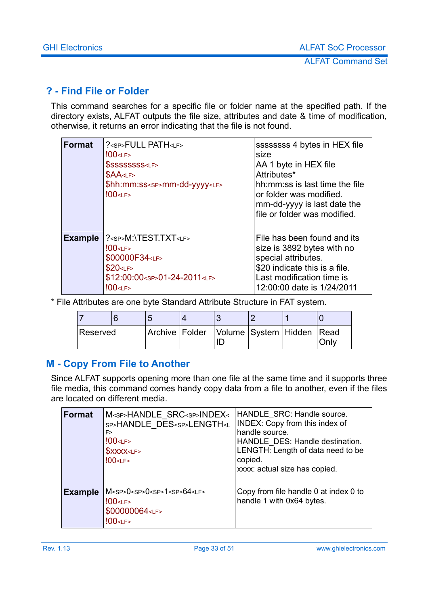#### <span id="page-32-0"></span>**? - Find File or Folder**

This command searches for a specific file or folder name at the specified path. If the directory exists, ALFAT outputs the file size, attributes and date & time of modification, otherwise, it returns an error indicating that the file is not found.

| <b>Format</b>  | ? <sp>FULL PATH<lf><br/><math>100</math> &lt; LF &gt;<br/>\$SSSSSSSS<lf><br/>\$AA &lt; LF<br/>\$hh:mm:ss<sp>mm-dd-yyyy<lf><br/><math>100</math> &lt; LF &gt;</lf></sp></lf></lf></sp>        | ssssssss 4 bytes in HEX file<br>size<br>AA 1 byte in HEX file<br>Attributes*<br>hh: mm: ss is last time the file<br>or folder was modified.<br>mm-dd-yyyy is last date the<br>file or folder was modified. |
|----------------|----------------------------------------------------------------------------------------------------------------------------------------------------------------------------------------------|------------------------------------------------------------------------------------------------------------------------------------------------------------------------------------------------------------|
| <b>Example</b> | ? <sp>M:\TEST.TXT<lf><br/><math>100</math> &lt; LF &gt;<br/>\$00000F34<lf><br/>\$20<sub>CF</sub><br/>\$12:00:00<sp>01-24-2011<lf><br/><math>100</math> &lt; LF &gt;</lf></sp></lf></lf></sp> | File has been found and its<br>size is 3892 bytes with no<br>special attributes.<br>\$20 indicate this is a file.<br>Last modification time is<br>12:00:00 date is 1/24/2011                               |

\* File Attributes are one byte Standard Attribute Structure in FAT system.

| Reserved |  | Archive Folder Volume System Hidden Read |  | Onlv |
|----------|--|------------------------------------------|--|------|

#### <span id="page-32-1"></span>**M - Copy From File to Another**

Since ALFAT supports opening more than one file at the same time and it supports three file media, this command comes handy copy data from a file to another, even if the files are located on different media.

| <b>Format</b>  | M <sp>HANDLE SRC<sp>INDEX&lt;<br/>SP&gt;HANDLE DES<sp>LENGTH<l<br>F&gt;<br/><math>100</math> &lt; LF &gt;<br/>\$XXX &lt; LF<br/><math>100</math> &lt;<math>LF</math>&gt;</l<br></sp></sp></sp> | HANDLE SRC: Handle source.<br>INDEX: Copy from this index of<br>handle source.<br>HANDLE DES: Handle destination.<br>LENGTH: Length of data need to be<br>copied.<br>xxxx: actual size has copied. |
|----------------|------------------------------------------------------------------------------------------------------------------------------------------------------------------------------------------------|----------------------------------------------------------------------------------------------------------------------------------------------------------------------------------------------------|
| <b>Example</b> | $M<$ SP>0 $<$ SP>0 $<$ SP>1 $<$ SP>64 $<$ LF><br>$100$ < LF ><br>\$00000064 <lf><br/><math>100</math> &lt; LF &gt;</lf>                                                                        | Copy from file handle 0 at index 0 to<br>handle 1 with 0x64 bytes.                                                                                                                                 |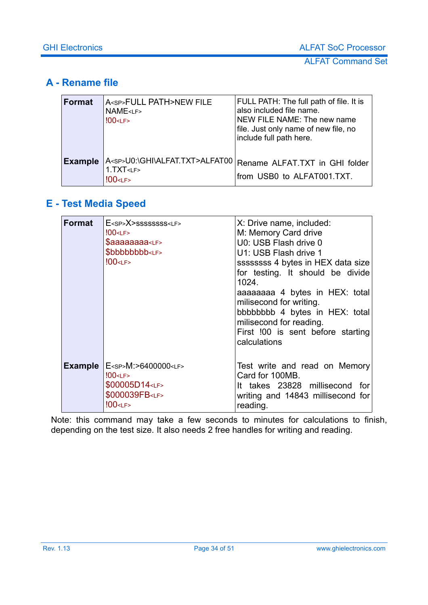#### <span id="page-33-1"></span>**A - Rename file**

| <b>Format</b>  | A <sp>FULL PATH&gt;NEW FILE<br/><b>NAME</b><lf><br/><math>100</math> &lt; LF &gt;</lf></sp>  | FULL PATH: The full path of file. It is<br>also included file name.<br>NEW FILE NAME: The new name<br>file. Just only name of new file, no<br>include full path here. |
|----------------|----------------------------------------------------------------------------------------------|-----------------------------------------------------------------------------------------------------------------------------------------------------------------------|
| <b>Example</b> | A <sp>U0:\GHI\ALFAT.TXT&gt;ALFAT00<br/>1. TXT &lt; LF<br/><math>100</math> &lt; LF &gt;</sp> | Rename ALFAT.TXT in GHI folder<br>from USB0 to ALFAT001.TXT.                                                                                                          |

### <span id="page-33-0"></span>**E - Test Media Speed**

| Format         | $E<$ sp> $X>$ ssssssssss <lf><br/><math>100</math> &lt; LF &gt;<br/>\$aaaaaaaa<lf><br/>\$bbbbbbbb<lf><br/><math>100</math> &lt; LF &gt;</lf></lf></lf> | X: Drive name, included:<br>M: Memory Card drive<br>U0: USB Flash drive 0<br>U1: USB Flash drive 1<br>ssssssss 4 bytes in HEX data size<br>for testing. It should be divide<br>1024.<br>aaaaaaaa 4 bytes in HEX: total<br>milisecond for writing.<br>bbbbbbbb 4 bytes in HEX: total<br>milisecond for reading.<br>First !00 is sent before starting<br>calculations |
|----------------|--------------------------------------------------------------------------------------------------------------------------------------------------------|---------------------------------------------------------------------------------------------------------------------------------------------------------------------------------------------------------------------------------------------------------------------------------------------------------------------------------------------------------------------|
| <b>Example</b> | E <sp>M:&gt;6400000<lf><br/><math>100</math> &lt; LF &gt;<br/>\$00005D14<lf><br/>\$000039FB<lf><br/><math>100</math> &lt; LF &gt;</lf></lf></lf></sp>  | Test write and read on Memory<br>Card for 100MB.<br>It takes 23828 millisecond for<br>writing and 14843 millisecond for<br>reading.                                                                                                                                                                                                                                 |

Note: this command may take a few seconds to minutes for calculations to finish, depending on the test size. It also needs 2 free handles for writing and reading.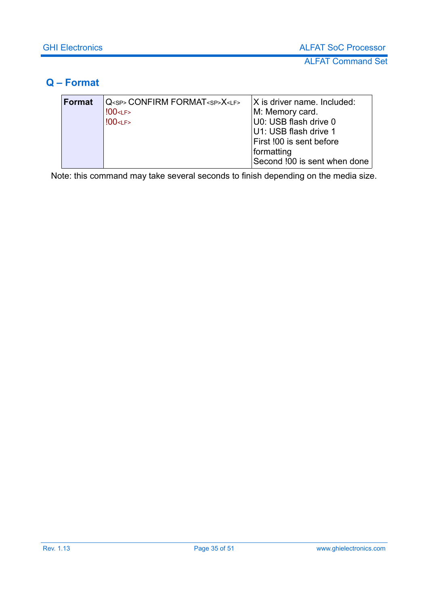#### <span id="page-34-0"></span>**Q – Format**

| <b>Format</b> | Q <sp> CONFIRM FORMAT<sp>X<lf></lf></sp></sp> | $ X $ is driver name. Included: |
|---------------|-----------------------------------------------|---------------------------------|
|               | $100$ <lf></lf>                               | M: Memory card.                 |
|               | $100$ <lf></lf>                               | U0: USB flash drive 0           |
|               |                                               | U1: USB flash drive 1           |
|               |                                               | First !00 is sent before        |
|               |                                               | formatting                      |
|               |                                               | Second !00 is sent when done    |

Note: this command may take several seconds to finish depending on the media size.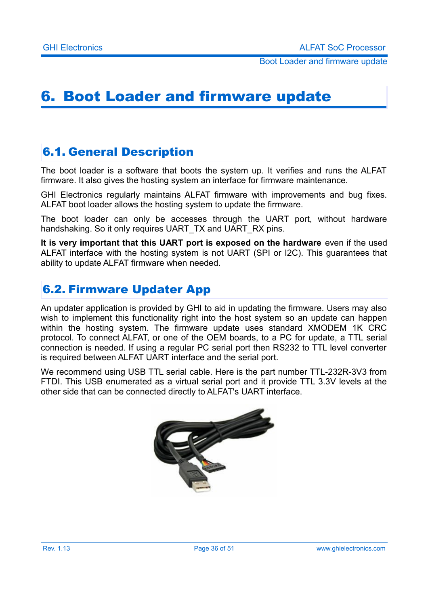# <span id="page-35-2"></span>6. Boot Loader and firmware update

### <span id="page-35-1"></span>6.1. General Description

The boot loader is a software that boots the system up. It verifies and runs the ALFAT firmware. It also gives the hosting system an interface for firmware maintenance.

GHI Electronics regularly maintains ALFAT firmware with improvements and bug fixes. ALFAT boot loader allows the hosting system to update the firmware.

The boot loader can only be accesses through the UART port, without hardware handshaking. So it only requires UART\_TX and UART\_RX pins.

**It is very important that this UART port is exposed on the hardware** even if the used ALFAT interface with the hosting system is not UART (SPI or I2C). This guarantees that ability to update ALFAT firmware when needed.

### <span id="page-35-0"></span>6.2. Firmware Updater App

An updater application is provided by GHI to aid in updating the firmware. Users may also wish to implement this functionality right into the host system so an update can happen within the hosting system. The firmware update uses standard XMODEM 1K CRC protocol. To connect ALFAT, or one of the OEM boards, to a PC for update, a TTL serial connection is needed. If using a regular PC serial port then RS232 to TTL level converter is required between ALFAT UART interface and the serial port.

We recommend using USB TTL serial cable. Here is the part number TTL-232R-3V3 from FTDI. This USB enumerated as a virtual serial port and it provide TTL 3.3V levels at the other side that can be connected directly to ALFAT's UART interface.

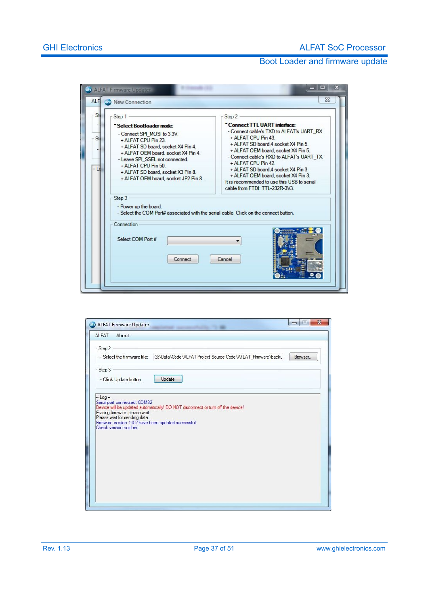| St        | Step 1                                                                                                                                                                                                                                                                                              | Step 2                                                                                                                                                                                                                                                                                                                                                                                                           |
|-----------|-----------------------------------------------------------------------------------------------------------------------------------------------------------------------------------------------------------------------------------------------------------------------------------------------------|------------------------------------------------------------------------------------------------------------------------------------------------------------------------------------------------------------------------------------------------------------------------------------------------------------------------------------------------------------------------------------------------------------------|
| St.<br>Ld | * Select Bootloader mode:<br>- Connect SPI MOSI to 3.3V.<br>+ ALFAT CPU Pin 23.<br>+ ALFAT SD board, socket X4 Pin 4.<br>+ ALFAT OEM board, socket X4 Pin 4.<br>- Leave SPI SSEL not connected.<br>+ ALFAT CPU Pin 50<br>+ ALFAT SD board, socket X3 Pin 8.<br>+ ALFAT OEM board, socket JP2 Pin 8. | *Connect TTL UART interface:<br>- Connect cable's TXD to ALFAT's UART RX.<br>+ ALFAT CPU Pin 43<br>+ ALFAT SD board 4 socket X4 Pin 5.<br>+ ALFAT OEM board, socket X4 Pin 5.<br>- Connect cable's RXD to ALFAT's UART TX.<br>+ ALFAT CPU Pin 42.<br>+ ALFAT SD board 4 socket X4 Pin 3.<br>+ ALFAT OEM board, socket X4 Pin 3.<br>It is recommended to use this USB to serial<br>cable from FTDI: TTL-232R-3V3. |
|           | Step 3<br>- Power up the board.<br>- Select the COM Port# associated with the serial cable. Click on the connect button.<br>Connection<br>Select COM Port #                                                                                                                                         |                                                                                                                                                                                                                                                                                                                                                                                                                  |
|           | Connect                                                                                                                                                                                                                                                                                             | Cancel                                                                                                                                                                                                                                                                                                                                                                                                           |

| ALFAT<br>About<br>Step 2                                                                                                                       |                                                                                 |         |
|------------------------------------------------------------------------------------------------------------------------------------------------|---------------------------------------------------------------------------------|---------|
| - Select the firmware file:                                                                                                                    | G:\Data\Code\ALFAT Project Source Code\AFLAT_Firmware\backu                     | Browser |
| Step 3<br>- Click Update button.                                                                                                               | Update                                                                          |         |
| $-$ Log $-$<br>Serial port connected: COM32                                                                                                    |                                                                                 |         |
|                                                                                                                                                |                                                                                 |         |
|                                                                                                                                                | Device will be updated automatically! DO NOT disconnect or turn off the device! |         |
|                                                                                                                                                |                                                                                 |         |
|                                                                                                                                                |                                                                                 |         |
| Erasing firmware, please wait<br>Please wait for sending data<br>Firmware version 1.0.2 have been updated successful.<br>Check version number: |                                                                                 |         |
|                                                                                                                                                |                                                                                 |         |
|                                                                                                                                                |                                                                                 |         |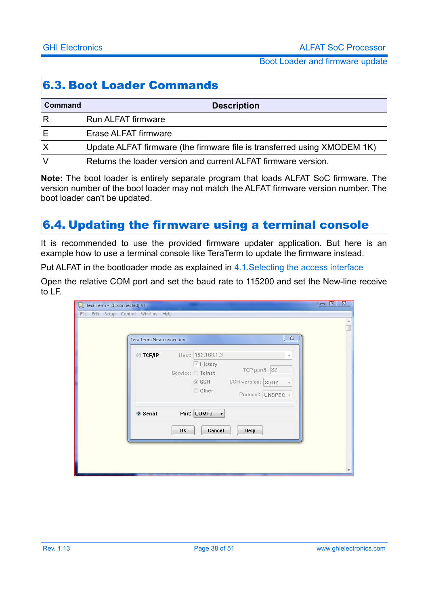### <span id="page-37-1"></span>6.3. Boot Loader Commands

| Command  | <b>Description</b>                                                       |
|----------|--------------------------------------------------------------------------|
| R        | <b>Run ALFAT firmware</b>                                                |
| Е        | Erase ALFAT firmware                                                     |
| $\times$ | Update ALFAT firmware (the firmware file is transferred using XMODEM 1K) |
|          | Returns the loader version and current ALFAT firmware version.           |

**Note:** The boot loader is entirely separate program that loads ALFAT SoC firmware. The version number of the boot loader may not match the ALFAT firmware version number. The boot loader can't be updated.

### <span id="page-37-0"></span>6.4. Updating the firmware using a terminal console

It is recommended to use the provided firmware updater application. But here is an example how to use a terminal console like TeraTerm to update the firmware instead.

Put ALFAT in the bootloader mode as explained in [4.1.Selecting the access interface](#page-12-1)

Open the relative COM port and set the baud rate to 115200 and set the New-line receive to LF.

| Tera Term - [disconnected] VT       |                           |    |                                                                                      |                                                          |          | $\Box$<br>$\overline{\mathbf{z}}$<br>$\equiv$ |
|-------------------------------------|---------------------------|----|--------------------------------------------------------------------------------------|----------------------------------------------------------|----------|-----------------------------------------------|
| File Edit Setup Control Window Help | Tera Term: New connection |    |                                                                                      |                                                          | $\Sigma$ |                                               |
|                                     | $\odot$ TCP/IP            |    | Host: 192.168.1.3<br><b>√</b> History<br>Service: O Telnet<br>$\circ$ SSH<br>O Other | TCP port#: 22<br>SSH version: SSH2<br>Protocol: UNSPEC v | ÷        |                                               |
|                                     | ◎ Serial                  | OK | Port: COM13<br>$\overline{\phantom{a}}$<br>Cancel                                    | Help                                                     |          |                                               |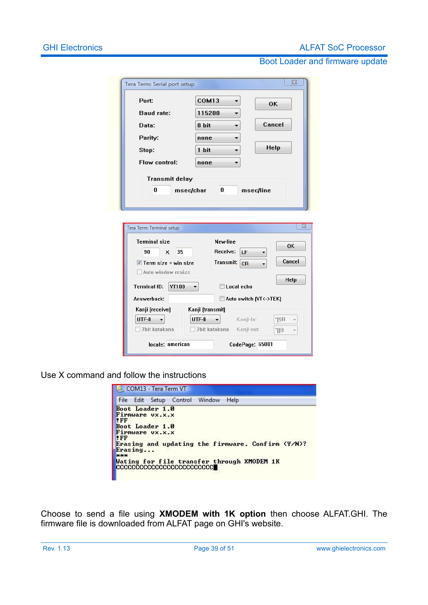#### **GHI Electronics ALFAT SoC Processor**

#### Boot Loader and firmware update

| Tera Term: Serial port setup         |                                        | $\Sigma$            |
|--------------------------------------|----------------------------------------|---------------------|
| Port:                                | COM <sub>13</sub>                      | <b>OK</b>           |
| <b>Baud rate:</b>                    | 115200                                 |                     |
| Data:                                | 8 bit                                  | Cancel              |
| Parity:                              | none                                   |                     |
| Stop:                                | 1 bit                                  | Help                |
| Flow control:                        | none                                   |                     |
| 0                                    | 0<br>msec/char<br>msec/line            |                     |
| Tera Term: Terminal setup            |                                        | $\overline{\Sigma}$ |
| <b>Terminal size</b>                 | New-line                               | 0K                  |
| 90<br>35<br>x                        | Receive:<br>LF                         |                     |
| $\triangledown$ Term size = win size | <b>Transmit:</b><br>CR                 | Cancel              |
| Auto window resize                   |                                        | Help                |
| <b>Terminal ID:</b><br><b>VT100</b>  | Local echo                             |                     |
| Answerback:                          | Auto switch [VT<->TEK]                 |                     |
| Kanji (receive)<br>UTF-8             | Kanji (transmit)<br>UTF-8<br>Kanji-in: | $^{\prime}$ [\$B    |

Use X command and follow the instructions

locale: american

| COM13 - Tera Term VT                                                                                                                                                                                                             |      |  |  |  |  |
|----------------------------------------------------------------------------------------------------------------------------------------------------------------------------------------------------------------------------------|------|--|--|--|--|
| File Edit Setup Control Window                                                                                                                                                                                                   | Help |  |  |  |  |
| Boot Loader 1.0<br>Firmware UX.X.X<br>$\mathbf{F}$<br>Boot Loader 1.0<br>Firmware UX.X.X<br>$ !$ FF<br>Erasing and updating the firmware. Confirm (Y/N)?<br>Erasing<br><b>HERE</b><br>Wating for file transfer through XMODEM 1K |      |  |  |  |  |

CodePage: 65001

Choose to send a file using **XMODEM with 1K option** then choose ALFAT.GHI. The firmware file is downloaded from ALFAT page on GHI's website.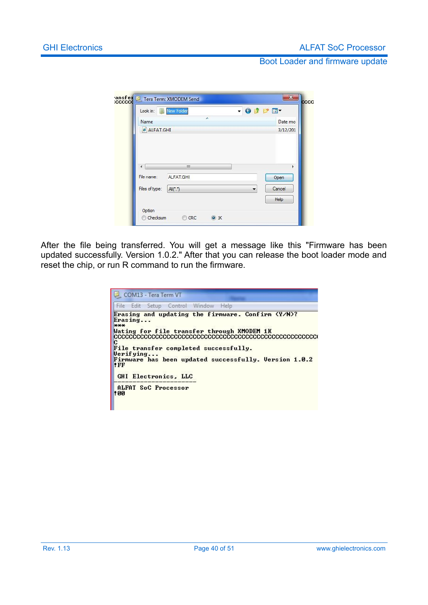| Name           |           |             | Date mo |  |
|----------------|-----------|-------------|---------|--|
|                | ALFAT.GHI |             |         |  |
| ٠              | Ш         |             |         |  |
| File name:     | ALFAT.GHI |             | Open    |  |
| Files of type: | AIC.7     | Cancel<br>۰ |         |  |
|                |           |             | Help    |  |

After the file being transferred. You will get a message like this "Firmware has been updated successfully. Version 1.0.2." After that you can release the boot loader mode and reset the chip, or run R command to run the firmware.

|       |           |  |                      | File Edit Setup Control Window Help   |                                                   |  |                                                       |
|-------|-----------|--|----------------------|---------------------------------------|---------------------------------------------------|--|-------------------------------------------------------|
| $***$ | Erasing   |  |                      |                                       | Erasing and updating the firmware. Confirm (Y/N)? |  |                                                       |
|       |           |  |                      |                                       | Wating for file transfer through XMODEM 1K        |  |                                                       |
|       |           |  |                      | File transfer completed successfully. |                                                   |  |                                                       |
|       | Verifying |  |                      |                                       |                                                   |  |                                                       |
| "FF"  |           |  |                      |                                       |                                                   |  | Firmware has been updated successfully. Version 1.0.2 |
|       |           |  | GHI Electronics. LLC |                                       |                                                   |  |                                                       |
|       |           |  | ALFAT SoC Processor  |                                       |                                                   |  |                                                       |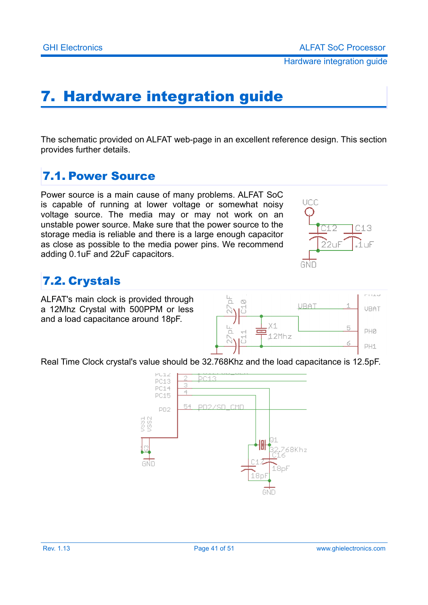# <span id="page-40-0"></span>7. Hardware integration guide

The schematic provided on ALFAT web-page in an excellent reference design. This section provides further details.

### <span id="page-40-2"></span>7.1. Power Source

Power source is a main cause of many problems. ALFAT SoC is capable of running at lower voltage or somewhat noisy voltage source. The media may or may not work on an unstable power source. Make sure that the power source to the storage media is reliable and there is a large enough capacitor as close as possible to the media power pins. We recommend adding 0.1uF and 22uF capacitors.



### <span id="page-40-1"></span>7.2. Crystals

ALFAT's main clock is provided through a 12Mhz Crystal with 500PPM or less and a load capacitance around 18pF.



Real Time Clock crystal's value should be 32.768Khz and the load capacitance is 12.5pF.

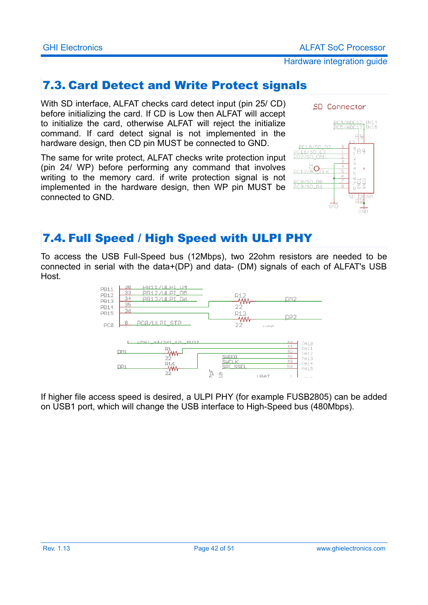### <span id="page-41-0"></span>7.3. Card Detect and Write Protect signals

With SD interface, ALFAT checks card detect input (pin 25/ CD) before initializing the card. If CD is Low then ALFAT will accept to initialize the card, otherwise ALFAT will reject the initialize command. If card detect signal is not implemented in the hardware design, then CD pin MUST be connected to GND.

The same for write protect, ALFAT checks write protection input (pin 24/ WP) before performing any command that involves writing to the memory card. if write protection signal is not implemented in the hardware design, then WP pin MUST be connected to GND.



### <span id="page-41-1"></span>7.4. Full Speed / High Speed with ULPI PHY

To access the USB Full-Speed bus (12Mbps), two 22ohm resistors are needed to be connected in serial with the data+(DP) and data- (DM) signals of each of ALFAT's USB Host.



If higher file access speed is desired, a ULPI PHY (for example FUSB2805) can be added on USB1 port, which will change the USB interface to High-Speed bus (480Mbps).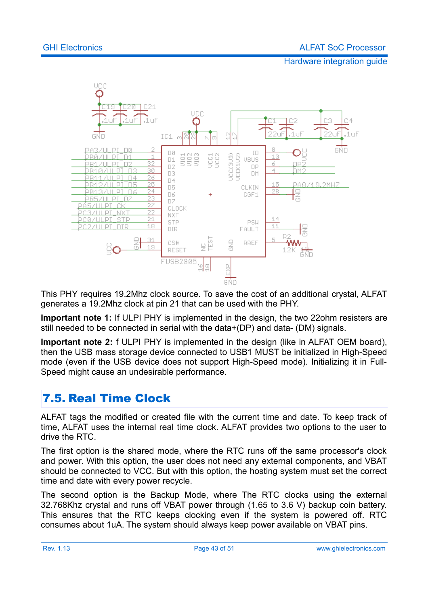

This PHY requires 19.2Mhz clock source. To save the cost of an additional crystal, ALFAT generates a 19.2Mhz clock at pin 21 that can be used with the PHY.

**Important note 1:** If ULPI PHY is implemented in the design, the two 22ohm resisters are still needed to be connected in serial with the data+(DP) and data- (DM) signals.

**Important note 2:** f ULPI PHY is implemented in the design (like in ALFAT OEM board), then the USB mass storage device connected to USB1 MUST be initialized in High-Speed mode (even if the USB device does not support High-Speed mode). Initializing it in Full-Speed might cause an undesirable performance.

### <span id="page-42-0"></span>7.5. Real Time Clock

ALFAT tags the modified or created file with the current time and date. To keep track of time, ALFAT uses the internal real time clock. ALFAT provides two options to the user to drive the RTC.

The first option is the shared mode, where the RTC runs off the same processor's clock and power. With this option, the user does not need any external components, and VBAT should be connected to VCC. But with this option, the hosting system must set the correct time and date with every power recycle.

The second option is the Backup Mode, where The RTC clocks using the external 32.768Khz crystal and runs off VBAT power through (1.65 to 3.6 V) backup coin battery. This ensures that the RTC keeps clocking even if the system is powered off. RTC consumes about 1uA. The system should always keep power available on VBAT pins.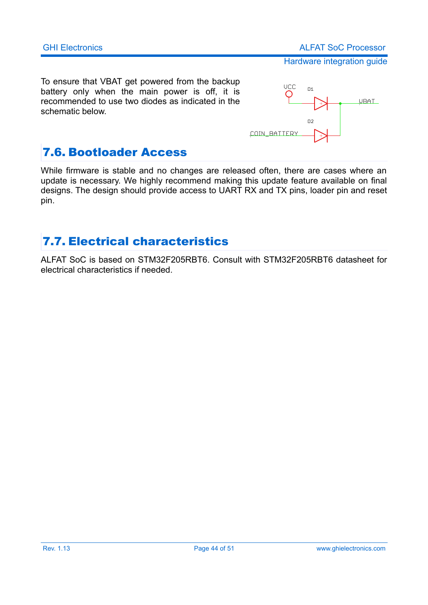To ensure that VBAT get powered from the backup battery only when the main power is off, it is recommended to use two diodes as indicated in the schematic below.



### <span id="page-43-1"></span>7.6. Bootloader Access

While firmware is stable and no changes are released often, there are cases where an update is necessary. We highly recommend making this update feature available on final designs. The design should provide access to UART RX and TX pins, loader pin and reset pin.

### <span id="page-43-0"></span>7.7. Electrical characteristics

ALFAT SoC is based on STM32F205RBT6. Consult with STM32F205RBT6 datasheet for electrical characteristics if needed.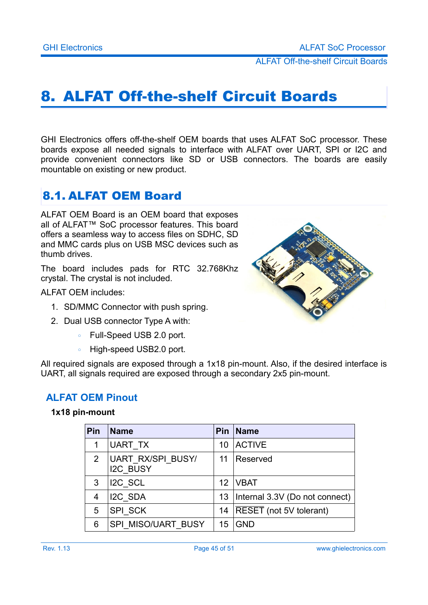ALFAT Off-the-shelf Circuit Boards

# <span id="page-44-2"></span>8. ALFAT Off-the-shelf Circuit Boards

GHI Electronics offers off-the-shelf OEM boards that uses ALFAT SoC processor. These boards expose all needed signals to interface with ALFAT over UART, SPI or I2C and provide convenient connectors like SD or USB connectors. The boards are easily mountable on existing or new product.

### <span id="page-44-1"></span>8.1. ALFAT OEM Board

ALFAT OEM Board is an OEM board that exposes all of ALFAT™ SoC processor features. This board offers a seamless way to access files on SDHC, SD and MMC cards plus on USB MSC devices such as thumb drives.

The board includes pads for RTC 32.768Khz crystal. The crystal is not included.

ALFAT OEM includes:

- 1. SD/MMC Connector with push spring.
- 2. Dual USB connector Type A with:
	- Full-Speed USB 2.0 port.
	- High-speed USB2.0 port.

All required signals are exposed through a 1x18 pin-mount. Also, if the desired interface is UART, all signals required are exposed through a secondary 2x5 pin-mount.

#### <span id="page-44-0"></span>**ALFAT OEM Pinout**

#### **1x18 pin-mount**

| Pin          | <b>Name</b>                          | <b>Pin</b> | <b>Name</b>                    |
|--------------|--------------------------------------|------------|--------------------------------|
| 1            | UART TX                              | 10         | <b>ACTIVE</b>                  |
| $\mathbf{2}$ | UART RX/SPI BUSY/<br><b>I2C BUSY</b> | 11         | Reserved                       |
| 3            | I2C SCL                              | 12         | <b>IVBAT</b>                   |
| 4            | I2C SDA                              | 13         | Internal 3.3V (Do not connect) |
| 5            | SPI SCK                              | 14         | RESET (not 5V tolerant)        |
| 6            | SPI MISO/UART BUSY                   | 15         | <b>GND</b>                     |

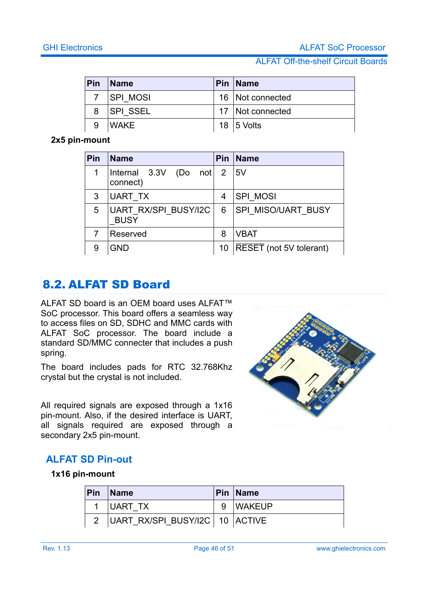#### ALFAT Off-the-shelf Circuit Boards

| Pin | <b>Name</b>  | Pin   Name         |
|-----|--------------|--------------------|
|     | 7   SPI MOSI | 16   Not connected |
|     | 8 SPI SSEL   | 17   Not connected |
|     | <b>WAKE</b>  | 18   5 Volts       |

#### **2x5 pin-mount**

| Pin | <b>Name</b>                           | <b>Pin</b> | <b>Name</b>                    |
|-----|---------------------------------------|------------|--------------------------------|
|     | Internal $3.3V$ (Do not 2<br>connect) |            | 15V                            |
| 3   | UART TX                               | 4          | <b>SPI MOSI</b>                |
| 5   | UART RX/SPI BUSY/I2C<br><b>BUSY</b>   | 6          | <b>SPI MISO/UART BUSY</b>      |
|     | Reserved                              | 8          | <b>VBAT</b>                    |
| 9   | <b>GND</b>                            | 10         | <b>RESET</b> (not 5V tolerant) |

### <span id="page-45-1"></span>8.2. ALFAT SD Board

ALFAT SD board is an OEM board uses ALFAT™ SoC processor. This board offers a seamless way to access files on SD, SDHC and MMC cards with ALFAT SoC processor. The board include a standard SD/MMC connecter that includes a push spring.

The board includes pads for RTC 32.768Khz crystal but the crystal is not included.

All required signals are exposed through a 1x16 pin-mount. Also, if the desired interface is UART, all signals required are exposed through a secondary 2x5 pin-mount.



#### <span id="page-45-0"></span>**ALFAT SD Pin-out**

#### **1x16 pin-mount**

| Pin | $\blacksquare$ Name              |   | <b>Pin Name</b> |
|-----|----------------------------------|---|-----------------|
|     | UART TX                          | g | <b>WAKEUP</b>   |
|     | UART RX/SPI BUSY/I2C   10 ACTIVE |   |                 |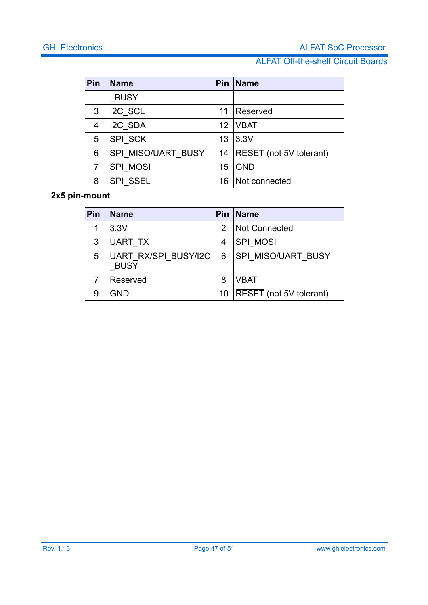#### ALFAT Off-the-shelf Circuit Boards

| Pin | <b>Name</b>        | Pin | <b>Name</b>             |
|-----|--------------------|-----|-------------------------|
|     | <b>BUSY</b>        |     |                         |
| 3   | $ $ I2C SCL        | 11  | Reserved                |
| 4   | I2C SDA            | 12  | <b>VBAT</b>             |
| 5   | SPI SCK            | 13  | 3.3V                    |
| 6   | SPI MISO/UART BUSY | 14  | RESET (not 5V tolerant) |
| 7   | SPI MOSI           | 15  | <b>GND</b>              |
| 8   | <b>SPI SSEL</b>    | 16  | Not connected           |

#### **2x5 pin-mount**

| Pin | <b>Name</b>                                | Pin | <b>Name</b>               |
|-----|--------------------------------------------|-----|---------------------------|
|     | 3.3V                                       | 2   | <b>Not Connected</b>      |
| 3   | UART TX                                    | 4   | <b>SPI MOSI</b>           |
| 5   | <b>UART RX/SPI BUSY/I2C</b><br><b>BUSY</b> | 6   | <b>SPI MISO/UART BUSY</b> |
|     | Reserved                                   | 8   | <b>VBAT</b>               |
| 9   | <b>GND</b>                                 | 10  | RESET (not 5V tolerant)   |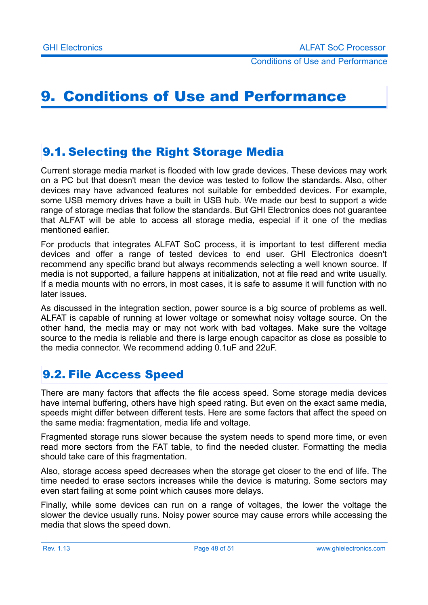Conditions of Use and Performance

# <span id="page-47-0"></span>9. Conditions of Use and Performance

### <span id="page-47-2"></span>9.1. Selecting the Right Storage Media

Current storage media market is flooded with low grade devices. These devices may work on a PC but that doesn't mean the device was tested to follow the standards. Also, other devices may have advanced features not suitable for embedded devices. For example, some USB memory drives have a built in USB hub. We made our best to support a wide range of storage medias that follow the standards. But GHI Electronics does not guarantee that ALFAT will be able to access all storage media, especial if it one of the medias mentioned earlier.

For products that integrates ALFAT SoC process, it is important to test different media devices and offer a range of tested devices to end user. GHI Electronics doesn't recommend any specific brand but always recommends selecting a well known source. If media is not supported, a failure happens at initialization, not at file read and write usually. If a media mounts with no errors, in most cases, it is safe to assume it will function with no later issues.

As discussed in the integration section, power source is a big source of problems as well. ALFAT is capable of running at lower voltage or somewhat noisy voltage source. On the other hand, the media may or may not work with bad voltages. Make sure the voltage source to the media is reliable and there is large enough capacitor as close as possible to the media connector. We recommend adding 0.1uF and 22uF.

### <span id="page-47-1"></span>9.2. File Access Speed

There are many factors that affects the file access speed. Some storage media devices have internal buffering, others have high speed rating. But even on the exact same media, speeds might differ between different tests. Here are some factors that affect the speed on the same media: fragmentation, media life and voltage.

Fragmented storage runs slower because the system needs to spend more time, or even read more sectors from the FAT table, to find the needed cluster. Formatting the media should take care of this fragmentation.

Also, storage access speed decreases when the storage get closer to the end of life. The time needed to erase sectors increases while the device is maturing. Some sectors may even start failing at some point which causes more delays.

Finally, while some devices can run on a range of voltages, the lower the voltage the slower the device usually runs. Noisy power source may cause errors while accessing the media that slows the speed down.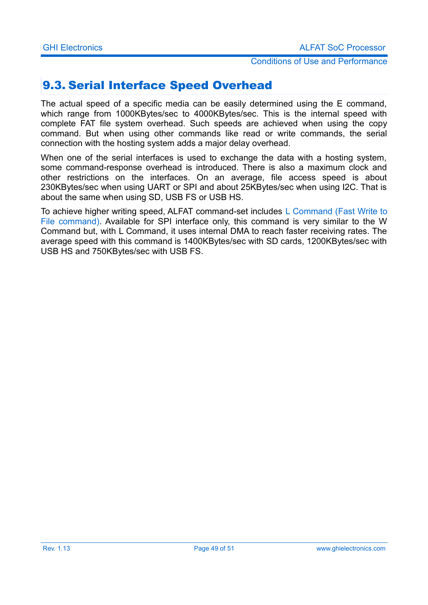#### Conditions of Use and Performance

### <span id="page-48-0"></span>9.3. Serial Interface Speed Overhead

The actual speed of a specific media can be easily determined using the E command, which range from 1000KBytes/sec to 4000KBytes/sec. This is the internal speed with complete FAT file system overhead. Such speeds are achieved when using the copy command. But when using other commands like read or write commands, the serial connection with the hosting system adds a major delay overhead.

When one of the serial interfaces is used to exchange the data with a hosting system, some command-response overhead is introduced. There is also a maximum clock and other restrictions on the interfaces. On an average, file access speed is about 230KBytes/sec when using UART or SPI and about 25KBytes/sec when using I2C. That is about the same when using SD, USB FS or USB HS.

To achieve higher writing speed, ALFAT command-set includes [L Command \(Fast Write to](#page-28-0) [File command\).](#page-28-0) Available for SPI interface only, this command is very similar to the W Command but, with L Command, it uses internal DMA to reach faster receiving rates. The average speed with this command is 1400KBytes/sec with SD cards, 1200KBytes/sec with USB HS and 750KBytes/sec with USB FS.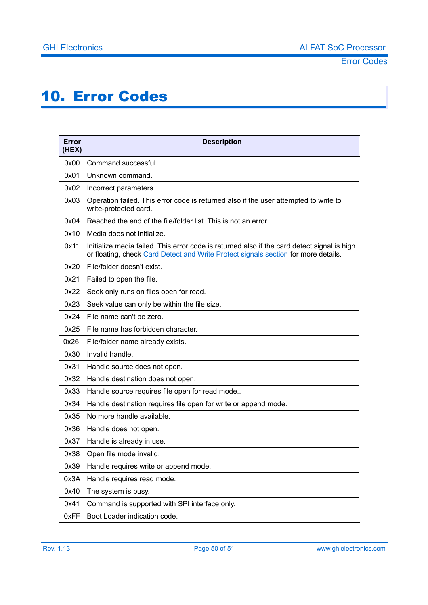# <span id="page-49-0"></span>10. Error Codes

| Error<br>(HEX) | <b>Description</b>                                                                                                                                                                |
|----------------|-----------------------------------------------------------------------------------------------------------------------------------------------------------------------------------|
| 0x00           | Command successful.                                                                                                                                                               |
| 0x01           | Unknown command.                                                                                                                                                                  |
| 0x02           | Incorrect parameters.                                                                                                                                                             |
| 0x03           | Operation failed. This error code is returned also if the user attempted to write to<br>write-protected card.                                                                     |
| 0x04           | Reached the end of the file/folder list. This is not an error.                                                                                                                    |
| 0x10           | Media does not initialize.                                                                                                                                                        |
| 0x11           | Initialize media failed. This error code is returned also if the card detect signal is high<br>or floating, check Card Detect and Write Protect signals section for more details. |
| 0x20           | File/folder doesn't exist.                                                                                                                                                        |
| 0x21           | Failed to open the file.                                                                                                                                                          |
| 0x22           | Seek only runs on files open for read.                                                                                                                                            |
| 0x23           | Seek value can only be within the file size.                                                                                                                                      |
| 0x24           | File name can't be zero.                                                                                                                                                          |
| 0x25           | File name has forbidden character.                                                                                                                                                |
| 0x26           | File/folder name already exists.                                                                                                                                                  |
| 0x30           | Invalid handle.                                                                                                                                                                   |
| 0x31           | Handle source does not open.                                                                                                                                                      |
| 0x32           | Handle destination does not open.                                                                                                                                                 |
| 0x33           | Handle source requires file open for read mode                                                                                                                                    |
| 0x34           | Handle destination requires file open for write or append mode.                                                                                                                   |
| 0x35           | No more handle available.                                                                                                                                                         |
| 0x36           | Handle does not open.                                                                                                                                                             |
| 0x37           | Handle is already in use.                                                                                                                                                         |
| 0x38           | Open file mode invalid.                                                                                                                                                           |
| 0x39           | Handle requires write or append mode.                                                                                                                                             |
| 0x3A           | Handle requires read mode.                                                                                                                                                        |
| 0x40           | The system is busy.                                                                                                                                                               |
| 0x41           | Command is supported with SPI interface only.                                                                                                                                     |
| 0xFF           | Boot Loader indication code.                                                                                                                                                      |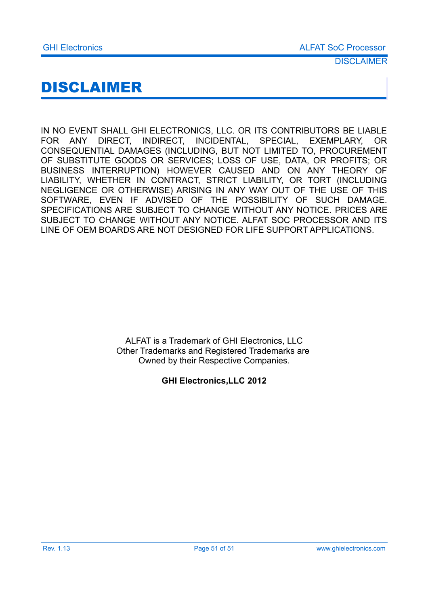# <span id="page-50-0"></span>DISCLAIMER

IN NO EVENT SHALL GHI ELECTRONICS, LLC. OR ITS CONTRIBUTORS BE LIABLE FOR ANY DIRECT, INDIRECT, INCIDENTAL, SPECIAL, EXEMPLARY, OR CONSEQUENTIAL DAMAGES (INCLUDING, BUT NOT LIMITED TO, PROCUREMENT OF SUBSTITUTE GOODS OR SERVICES; LOSS OF USE, DATA, OR PROFITS; OR BUSINESS INTERRUPTION) HOWEVER CAUSED AND ON ANY THEORY OF LIABILITY, WHETHER IN CONTRACT, STRICT LIABILITY, OR TORT (INCLUDING NEGLIGENCE OR OTHERWISE) ARISING IN ANY WAY OUT OF THE USE OF THIS SOFTWARE, EVEN IF ADVISED OF THE POSSIBILITY OF SUCH DAMAGE. SPECIFICATIONS ARE SUBJECT TO CHANGE WITHOUT ANY NOTICE. PRICES ARE SUBJECT TO CHANGE WITHOUT ANY NOTICE. ALFAT SOC PROCESSOR AND ITS LINE OF OEM BOARDS ARE NOT DESIGNED FOR LIFE SUPPORT APPLICATIONS.

> ALFAT is a Trademark of GHI Electronics, LLC Other Trademarks and Registered Trademarks are Owned by their Respective Companies.

#### **GHI Electronics,LLC 2012**